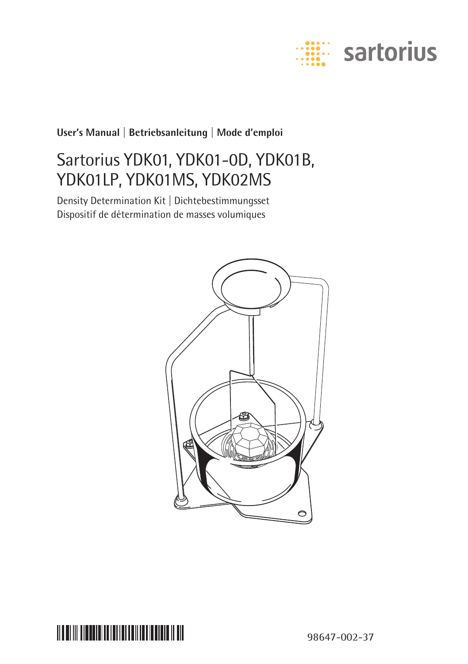

### **User's Manual | Betriebsanleitung | Mode d'emploi**

### Sartorius YDK01, YDK01-0D, YDK01B, YDK01LP, YDK01MS, YDK02MS

Density Determination Kit | Dichtebestimmungsset Dispositif de détermination de masses volumiques





98647-002-37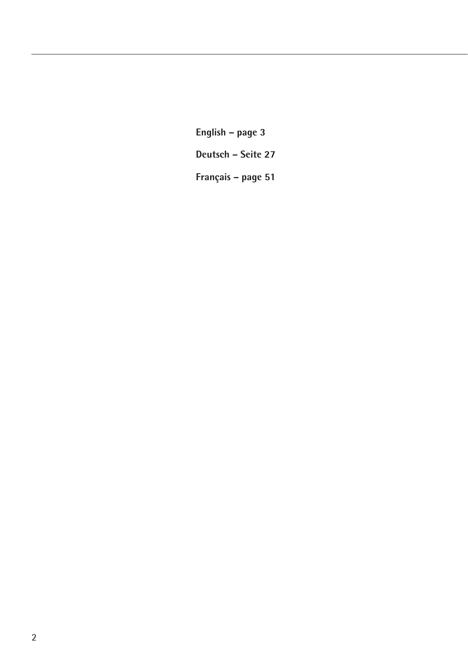**English – page 3 Deutsch – Seite 27 Français – page 51**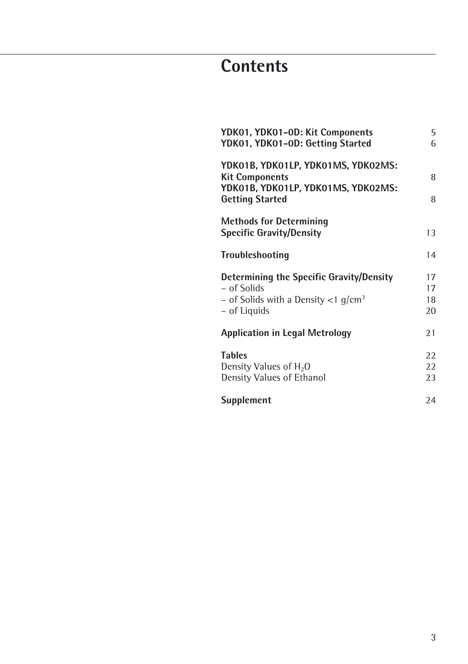## **Contents**

| YDK01, YDK01-0D: Kit Components<br>YDK01, YDK01-0D: Getting Started                                                           | 5<br>6               |
|-------------------------------------------------------------------------------------------------------------------------------|----------------------|
| YDK01B, YDK01LP, YDK01MS, YDK02MS:<br><b>Kit Components</b><br>YDK01B, YDK01LP, YDK01MS, YDK02MS:<br><b>Getting Started</b>   | 8<br>8               |
| <b>Methods for Determining</b><br><b>Specific Gravity/Density</b>                                                             | 13                   |
| Troubleshooting                                                                                                               | 14                   |
| Determining the Specific Gravity/Density<br>- of Solids<br>- of Solids with a Density $<$ 1 g/cm <sup>3</sup><br>– of Liquids | 17<br>17<br>18<br>20 |
| <b>Application in Legal Metrology</b>                                                                                         | 21                   |
| <b>Tables</b><br>Density Values of H <sub>2</sub> O<br>Density Values of Ethanol                                              | 22<br>22<br>23       |
| Supplement                                                                                                                    | 24                   |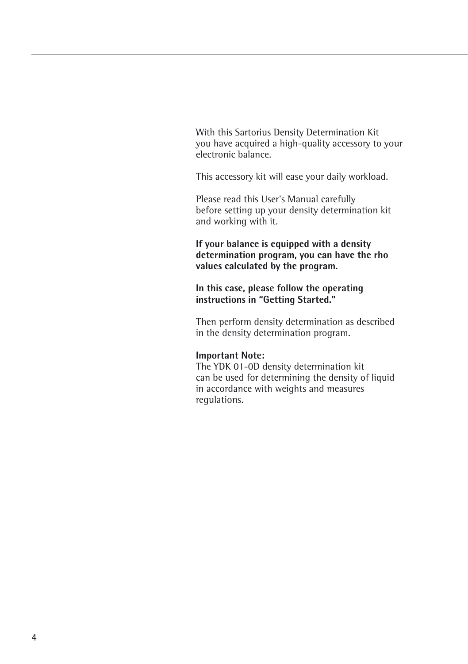With this Sartorius Density Determination Kit you have acquired a high-quality accessory to your electronic balance.

This accessory kit will ease your daily workload.

Please read this User's Manual carefully before setting up your density determination kit and working with it.

**If your balance is equipped with a density determination program, you can have the rho values calculated by the program.**

**In this case, please follow the operating instructions in "Getting Started."**

Then perform density determination as described in the density determination program.

#### **Important Note:**

The YDK 01-0D density determination kit can be used for determining the density of liquid in accordance with weights and measures regulations.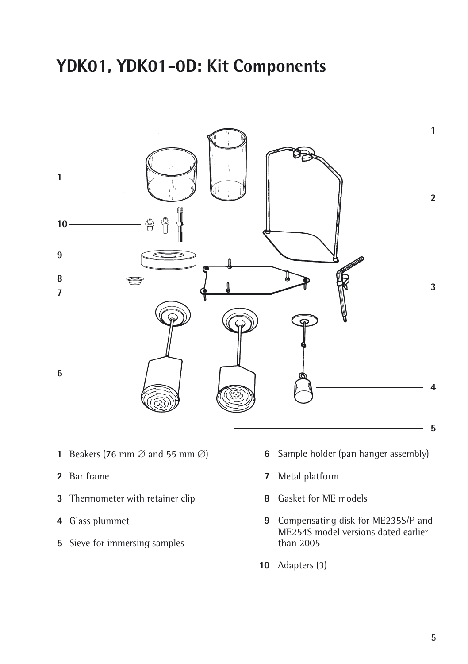### **YDK01, YDK01-0D: Kit Components**



- **1** Beakers (76 mm  $\varnothing$  and 55 mm  $\varnothing$ )
- Bar frame
- Thermometer with retainer clip
- Glass plummet
- Sieve for immersing samples
- Sample holder (pan hanger assembly)
- Metal platform
- Gasket for ME models
- Compensating disk for ME235S/P and ME254S model versions dated earlier than 2005
- Adapters (3)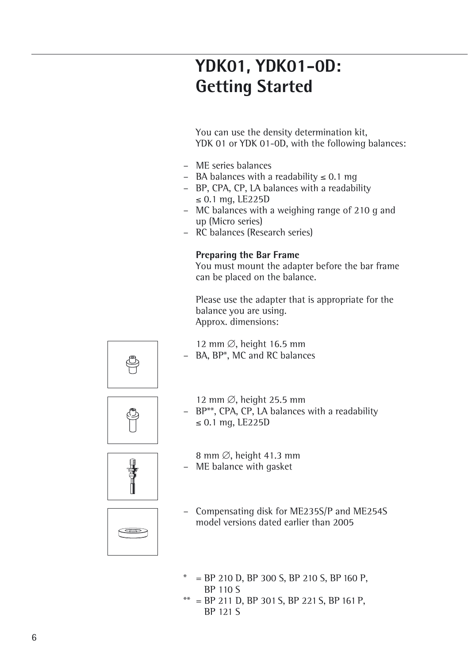## **YDK01, YDK01-0D: Getting Started**

You can use the density determination kit, YDK 01 or YDK 01-0D, with the following balances:

- ME series balances
- $-$  BA balances with a readability  $\leq 0.1$  mg
- BP, CPA, CP, LA balances with a readability  $\leq$  0.1 mg, LE225D
- MC balances with a weighing range of 210 g and up (Micro series)
- RC balances (Research series)

#### **Preparing the Bar Frame**

You must mount the adapter before the bar frame can be placed on the balance.

Please use the adapter that is appropriate for the balance you are using. Approx. dimensions:



12 mm  $\varnothing$ , height 16.5 mm BA, BP\*, MC and RC balances



- 12 mm  $\varnothing$ , height 25.5 mm
- BP\*\*, CPA, CP, LA balances with a readability  $\leq$  0.1 mg, LE225D



- 8 mm  $\emptyset$ , height 41.3 mm – ME balance with gasket
- 



- Compensating disk for ME235S/P and ME254S model versions dated earlier than 2005
- $=$  BP 210 D, BP 300 S, BP 210 S, BP 160 P, BP 110 S
- $=$  BP 211 D, BP 301 S, BP 221 S, BP 161 P, BP 121 S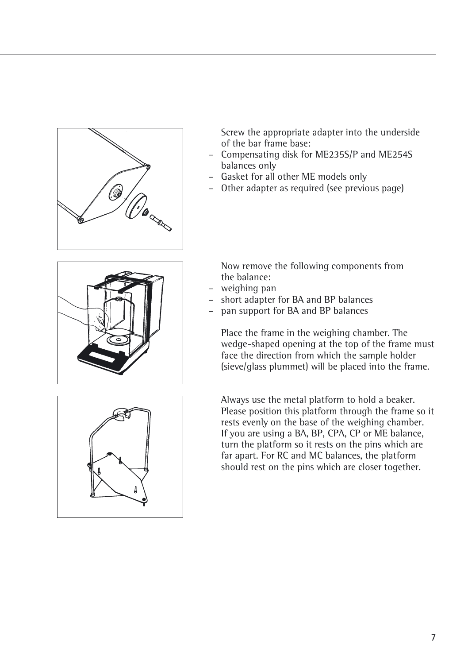

Screw the appropriate adapter into the underside of the bar frame base:

- Compensating disk for ME235S/P and ME254S balances only
- Gasket for all other ME models only
- Other adapter as required (see previous page)



Now remove the following components from the balance:

- weighing pan
- short adapter for BA and BP balances
- pan support for BA and BP balances

Place the frame in the weighing chamber. The wedge-shaped opening at the top of the frame must face the direction from which the sample holder (sieve/glass plummet) will be placed into the frame.

Always use the metal platform to hold a beaker. Please position this platform through the frame so it rests evenly on the base of the weighing chamber. If you are using a BA, BP, CPA, CP or ME balance, turn the platform so it rests on the pins which are far apart. For RC and MC balances, the platform should rest on the pins which are closer together.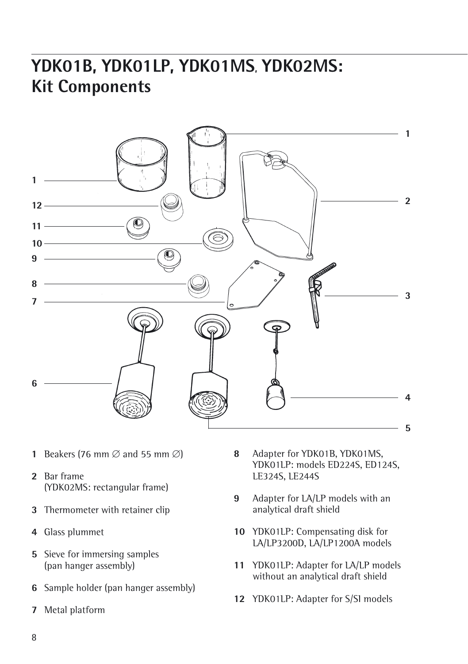## **YDK01B, YDK01LP, YDK01MS, YDK02MS: Kit Components**



- **1** Beakers (76 mm  $\varnothing$  and 55 mm  $\varnothing$ )
- Bar frame (YDK02MS: rectangular frame)
- Thermometer with retainer clip
- Glass plummet
- Sieve for immersing samples (pan hanger assembly)
- Sample holder (pan hanger assembly)
- Metal platform
- Adapter for YDK01B, YDK01MS, YDK01LP: models ED224S, ED124S, LE324S, LE244S
- Adapter for LA/LP models with an analytical draft shield
- YDK01LP: Compensating disk for LA/LP3200D, LA/LP1200A models
- YDK01LP: Adapter for LA/LP models without an analytical draft shield
- YDK01LP: Adapter for S/SI models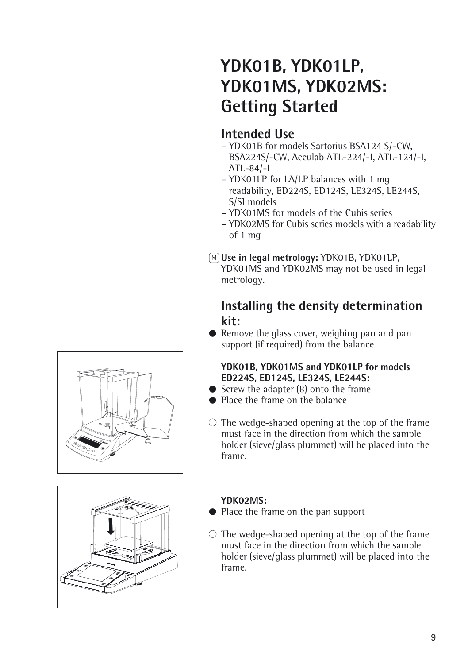## **YDK01B, YDK01LP, YDK01MS, YDK02MS: Getting Started**

### **Intended Use**

- YDK01B for models Sartorius BSA124 S/-CW, BSA224S/-CW, Acculab ATL-224/-I, ATL-124/-I, ATL-84/-I
- YDK01LP for LA/LP balances with 1 mg readability, ED224S, ED124S, LE324S, LE244S, S/SI models
- YDK01MS for models of the Cubis series
- YDK02MS for Cubis series models with a readability of 1 mg
- Q**Use in legal metrology:** YDK01B, YDK01LP,
	- YDK01MS and YDK02MS may not be used in legal metrology.

### **Installing the density determination kit:**

● Remove the glass cover, weighing pan and pan support (if required) from the balance

#### **YDK01B, YDK01MS and YDK01LP for models ED224S, ED124S, LE324S, LE244S:**

- Screw the adapter (8) onto the frame
- Place the frame on the balance
- $\circ$  The wedge-shaped opening at the top of the frame must face in the direction from which the sample holder (sieve/glass plummet) will be placed into the frame.



#### **YDK02MS:**

- § Place the frame on the pan support
- $\circ$  The wedge-shaped opening at the top of the frame must face in the direction from which the sample holder (sieve/glass plummet) will be placed into the frame.

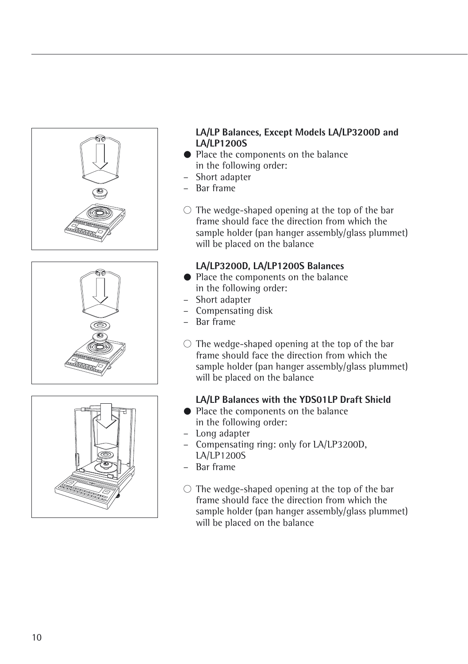





#### **LA/LP Balances, Except Models LA/LP3200D and LA/LP1200S**

- Place the components on the balance in the following order:
- Short adapter
- Bar frame
- $\circ$  The wedge-shaped opening at the top of the bar frame should face the direction from which the sample holder (pan hanger assembly/glass plummet) will be placed on the balance

#### **LA/LP3200D, LA/LP1200S Balances**

- Place the components on the balance in the following order:
- Short adapter
- Compensating disk
- Bar frame
- $\circ$  The wedge-shaped opening at the top of the bar frame should face the direction from which the sample holder (pan hanger assembly/glass plummet) will be placed on the balance

#### **LA/LP Balances with the YDS01LP Draft Shield**

- Place the components on the balance in the following order:
- Long adapter
- Compensating ring: only for LA/LP3200D, LA/LP1200S
- Bar frame
- $\circ$  The wedge-shaped opening at the top of the bar frame should face the direction from which the sample holder (pan hanger assembly/glass plummet) will be placed on the balance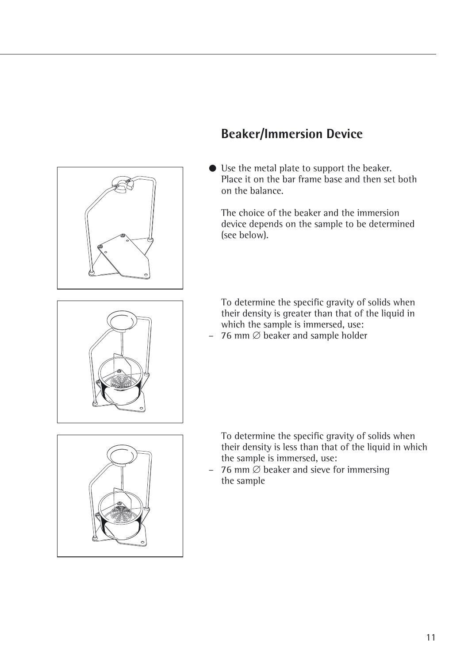

### **Beaker/Immersion Device**

§ Use the metal plate to support the beaker. Place it on the bar frame base and then set both on the balance.

The choice of the beaker and the immersion device depends on the sample to be determined (see below).

To determine the specific gravity of solids when their density is greater than that of the liquid in which the sample is immersed, use:

– 76 mm  $\emptyset$  beaker and sample holder



To determine the specific gravity of solids when their density is less than that of the liquid in which the sample is immersed, use:

– 76 mm  $\varnothing$  beaker and sieve for immersing the sample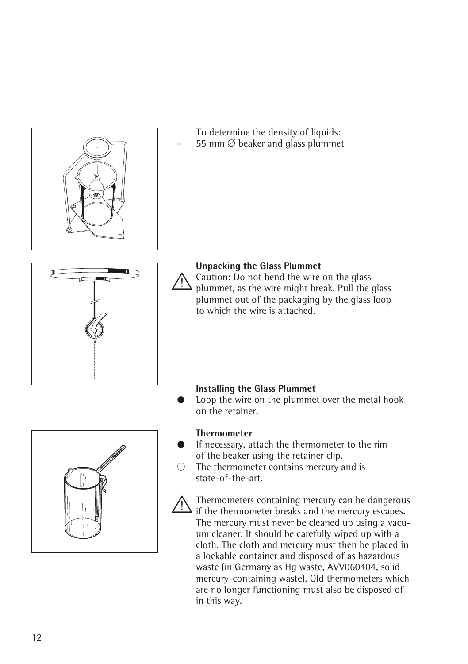

Thermometers containing mercury can be dangerous if the thermometer breaks and the mercury escapes. The mercury must never be cleaned up using a vacuum cleaner. It should be carefully wiped up with a cloth. The cloth and mercury must then be placed in a lockable container and disposed of as hazardous waste (in Germany as Hg waste, AVV060404, solid mercury-containing waste). Old thermometers which are no longer functioning must also be disposed of in this way.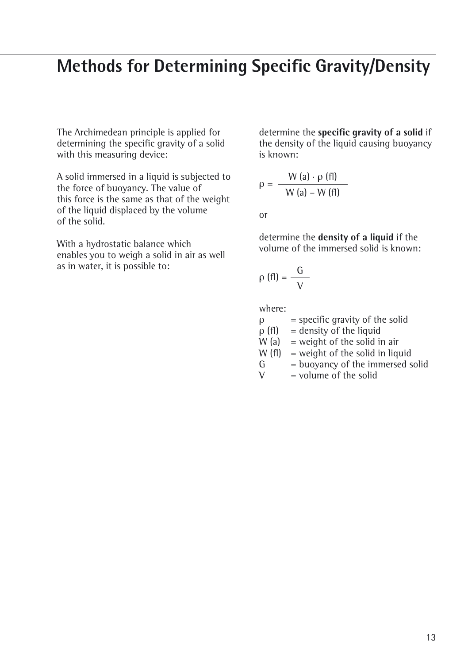### **Methods for Determining Specific Gravity/Density**

The Archimedean principle is applied for determining the specific gravity of a solid with this measuring device:

A solid immersed in a liquid is subjected to the force of buoyancy. The value of this force is the same as that of the weight of the liquid displaced by the volume of the solid.

With a hydrostatic balance which enables you to weigh a solid in air as well as in water, it is possible to:

determine the **specific gravity of a solid** if the density of the liquid causing buoyancy is known:

$$
\rho = \frac{W(a) \cdot \rho(fI)}{W(a) - W(fI)}
$$

or

determine the **density of a liquid** if the volume of the immersed solid is known:

$$
\rho\left(\text{f1}\right)=\frac{G}{V}
$$

where:

| ρ           | $=$ specific gravity of the solid |
|-------------|-----------------------------------|
| $\rho$ (fl) | $=$ density of the liquid         |
| W(a)        | $=$ weight of the solid in air    |
| W(f)        | $=$ weight of the solid in liquid |
| G           | = buoyancy of the immersed solid  |
| V           | $=$ volume of the solid           |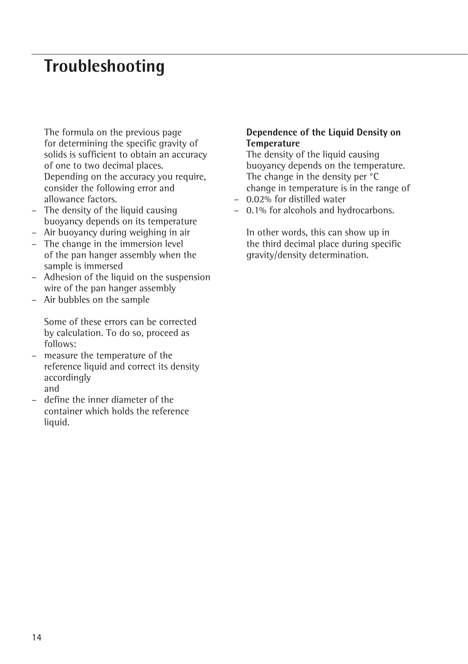### **Troubleshooting**

The formula on the previous page for determining the specific gravity of solids is sufficient to obtain an accuracy of one to two decimal places. Depending on the accuracy you require, consider the following error and allowance factors.

- The density of the liquid causing buoyancy depends on its temperature
- Air buoyancy during weighing in air
- The change in the immersion level of the pan hanger assembly when the sample is immersed
- Adhesion of the liquid on the suspension wire of the pan hanger assembly
- Air bubbles on the sample

Some of these errors can be corrected by calculation. To do so, proceed as follows:

- measure the temperature of the reference liquid and correct its density accordingly and
- define the inner diameter of the container which holds the reference liquid.

#### **Dependence of the Liquid Density on Temperature**

The density of the liquid causing buoyancy depends on the temperature. The change in the density per <sup>°</sup>C change in temperature is in the range of

- 0.02% for distilled water
- 0.1% for alcohols and hydrocarbons.

In other words, this can show up in the third decimal place during specific gravity/density determination.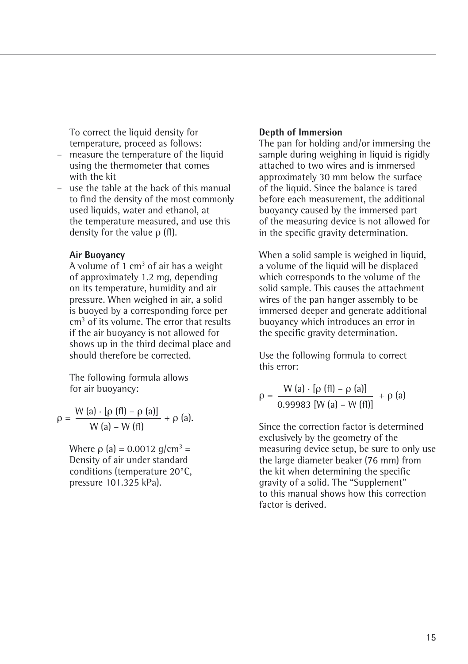To correct the liquid density for temperature, proceed as follows:

- measure the temperature of the liquid using the thermometer that comes with the kit
- use the table at the back of this manual to find the density of the most commonly used liquids, water and ethanol, at the temperature measured, and use this density for the value ρ (fl).

#### **Air Buoyancy**

A volume of 1  $cm<sup>3</sup>$  of air has a weight of approximately 1.2 mg, depending on its temperature, humidity and air pressure. When weighed in air, a solid is buoyed by a corresponding force per cm3 of its volume. The error that results if the air buoyancy is not allowed for shows up in the third decimal place and should therefore be corrected.

The following formula allows for air buoyancy:

$$
\rho = \frac{W (a) \cdot [\rho (f I) - \rho (a)]}{W (a) - W (f I)} + \rho (a).
$$

Where  $\rho$  (a) = 0.0012 g/cm<sup>3</sup> = Density of air under standard conditions (temperature 20°C, pressure 101.325 kPa).

#### **Depth of Immersion**

The pan for holding and/or immersing the sample during weighing in liquid is rigidly attached to two wires and is immersed approximately 30 mm below the surface of the liquid. Since the balance is tared before each measurement, the additional buoyancy caused by the immersed part of the measuring device is not allowed for in the specific gravity determination.

When a solid sample is weighed in liquid, a volume of the liquid will be displaced which corresponds to the volume of the solid sample. This causes the attachment wires of the pan hanger assembly to be immersed deeper and generate additional buoyancy which introduces an error in the specific gravity determination.

Use the following formula to correct this error:

$$
\rho = \frac{W (a) \cdot [\rho (f I) - \rho (a)]}{0.99983 [W (a) - W (f I)]} + \rho (a)
$$

Since the correction factor is determined exclusively by the geometry of the measuring device setup, be sure to only use the large diameter beaker (76 mm) from the kit when determining the specific gravity of a solid. The "Supplement" to this manual shows how this correction factor is derived.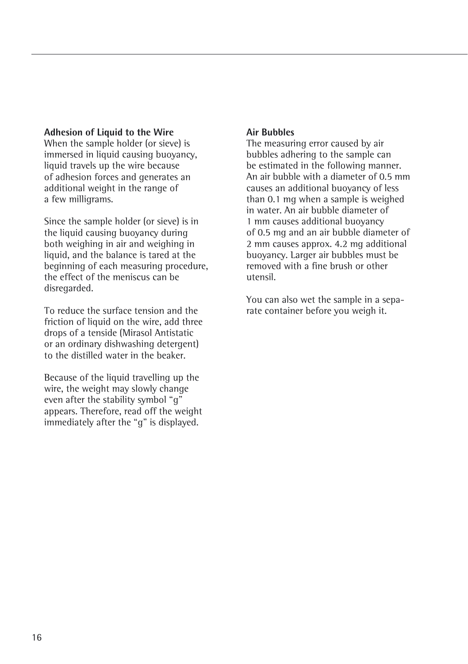#### **Adhesion of Liquid to the Wire**

When the sample holder (or sieve) is immersed in liquid causing buoyancy. liquid travels up the wire because of adhesion forces and generates an additional weight in the range of a few milligrams.

Since the sample holder (or sieve) is in the liquid causing buoyancy during both weighing in air and weighing in liquid, and the balance is tared at the beginning of each measuring procedure, the effect of the meniscus can be disregarded.

To reduce the surface tension and the friction of liquid on the wire, add three drops of a tenside (Mirasol Antistatic or an ordinary dishwashing detergent) to the distilled water in the beaker.

Because of the liquid travelling up the wire, the weight may slowly change even after the stability symbol "g" appears. Therefore, read off the weight immediately after the "g" is displayed.

#### **Air Bubbles**

The measuring error caused by air bubbles adhering to the sample can be estimated in the following manner. An air bubble with a diameter of 0.5 mm causes an additional buoyancy of less than 0.1 mg when a sample is weighed in water. An air bubble diameter of 1 mm causes additional buoyancy of 0.5 mg and an air bubble diameter of 2 mm causes approx. 4.2 mg additional buoyancy. Larger air bubbles must be removed with a fine brush or other utensil.

You can also wet the sample in a separate container before you weigh it.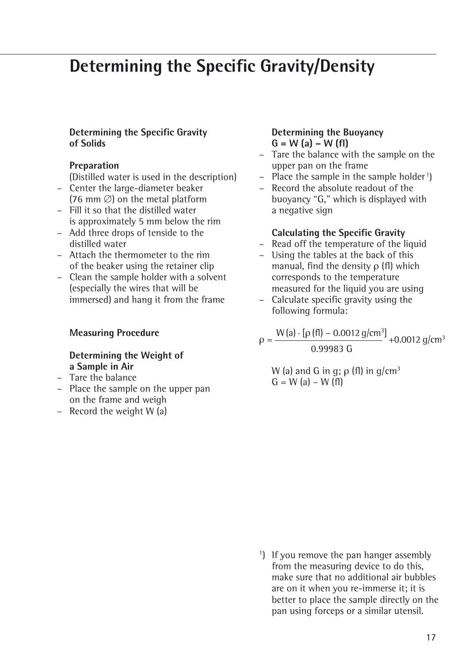### **Determining the Specific Gravity/Density**

#### **Determining the Specific Gravity of Solids**

#### **Preparation**

(Distilled water is used in the description)

- Center the large-diameter beaker  $(76 \text{ mm} \oslash)$  on the metal platform
- Fill it so that the distilled water is approximately 5 mm below the rim
- Add three drops of tenside to the distilled water
- Attach the thermometer to the rim of the beaker using the retainer clip
- Clean the sample holder with a solvent (especially the wires that will be immersed) and hang it from the frame

#### **Measuring Procedure**

#### **Determining the Weight of a Sample in Air**

- Tare the balance
- Place the sample on the upper pan on the frame and weigh
- Record the weight W (a)

#### **Determining the Buoyancy G = W (a) – W (fl)**

- Tare the balance with the sample on the upper pan on the frame
- Place the sample in the sample holder<sup>1</sup>)
- Record the absolute readout of the buoyancy "G," which is displayed with a negative sign

#### **Calculating the Specific Gravity**

- Read off the temperature of the liquid
- Using the tables at the back of this manual, find the density ρ (fl) which corresponds to the temperature measured for the liquid you are using
- Calculate specific gravity using the following formula:

 $\rho = \frac{W(a) \cdot [\rho(f\theta] - 0.0012 \text{ g/cm}^3]}{0.0012 \text{ g/cm}^3} + 0.0012 \text{ g/cm}^3$ 0.99983 G

W (a) and G in g;  $\rho$  (fl) in g/cm<sup>3</sup>  $G = W(a) - W(f)$ 

<sup>1</sup>) If you remove the pan hanger assembly from the measuring device to do this, make sure that no additional air bubbles are on it when you re-immerse it; it is better to place the sample directly on the pan using forceps or a similar utensil.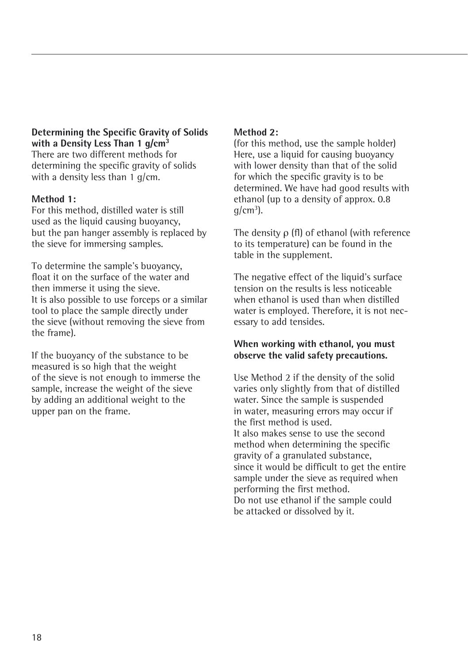#### **Determining the Specific Gravity of Solids with a Density Less Than 1 g/cm3**

There are two different methods for determining the specific gravity of solids with a density less than  $1 \text{ g/cm}$ .

#### **Method 1:**

For this method, distilled water is still used as the liquid causing buoyancy. but the pan hanger assembly is replaced by the sieve for immersing samples.

To determine the sample's buoyancy, float it on the surface of the water and then immerse it using the sieve. It is also possible to use forceps or a similar tool to place the sample directly under the sieve (without removing the sieve from the frame).

If the buoyancy of the substance to be measured is so high that the weight of the sieve is not enough to immerse the sample, increase the weight of the sieve by adding an additional weight to the upper pan on the frame.

#### **Method 2:**

(for this method, use the sample holder) Here, use a liquid for causing buoyancy with lower density than that of the solid for which the specific gravity is to be determined. We have had good results with ethanol (up to a density of approx. 0.8  $g/cm^3$ ).

The density ρ (fl) of ethanol (with reference to its temperature) can be found in the table in the supplement.

The negative effect of the liquid's surface tension on the results is less noticeable when ethanol is used than when distilled water is employed. Therefore, it is not necessary to add tensides.

#### **When working with ethanol, you must observe the valid safety precautions.**

Use Method 2 if the density of the solid varies only slightly from that of distilled water. Since the sample is suspended in water, measuring errors may occur if the first method is used. It also makes sense to use the second method when determining the specific gravity of a granulated substance, since it would be difficult to get the entire sample under the sieve as required when performing the first method. Do not use ethanol if the sample could be attacked or dissolved by it.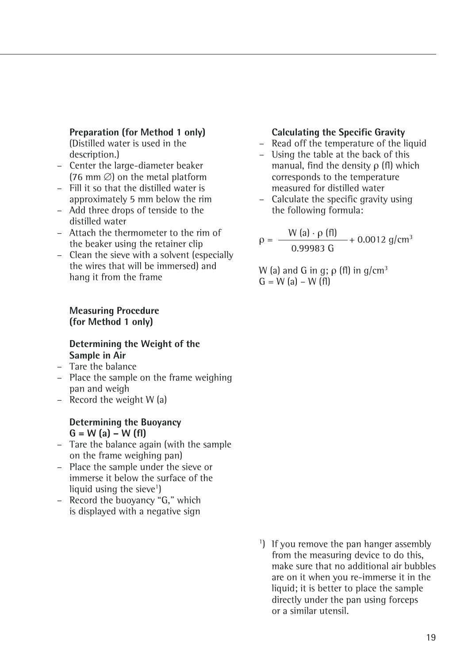#### **Preparation (for Method 1 only)**

(Distilled water is used in the description.)

- Center the large-diameter beaker  $(76 \text{ mm } \varnothing)$  on the metal platform
- Fill it so that the distilled water is approximately 5 mm below the rim
- Add three drops of tenside to the distilled water
- Attach the thermometer to the rim of the beaker using the retainer clip
- Clean the sieve with a solvent (especially the wires that will be immersed) and hang it from the frame

#### **Calculating the Specific Gravity**

- Read off the temperature of the liquid
- Using the table at the back of this manual, find the density ρ (fl) which corresponds to the temperature measured for distilled water
- Calculate the specific gravity using the following formula:

 $\rho = \frac{W (a) \cdot \rho (f1)}{0.99983 \text{ G}} + 0.0012 \text{ g/cm}^3$ 

W (a) and G in g;  $\rho$  (fl) in g/cm<sup>3</sup>  $G = W(a) - W(f)$ 

#### **Measuring Procedure (for Method 1 only)**

#### **Determining the Weight of the Sample in Air**

- Tare the balance
- Place the sample on the frame weighing pan and weigh
- Record the weight W (a)

#### **Determining the Buoyancy G = W (a) – W (fl)**

- Tare the balance again (with the sample on the frame weighing pan)
- Place the sample under the sieve or immerse it below the surface of the liquid using the sieve<sup>1</sup>)
- Record the buoyancy "G," which is displayed with a negative sign
- <sup>1</sup>) If you remove the pan hanger assembly from the measuring device to do this, make sure that no additional air bubbles are on it when you re-immerse it in the liquid; it is better to place the sample directly under the pan using forceps or a similar utensil.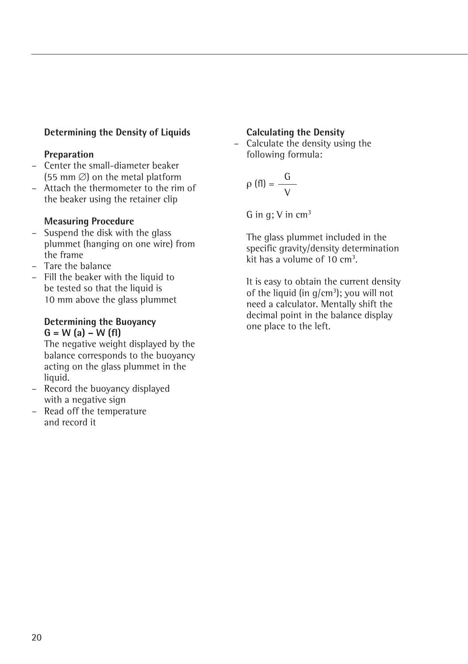#### **Determining the Density of Liquids**

#### **Preparation**

- Center the small-diameter beaker (55 mm  $\emptyset$ ) on the metal platform
- Attach the thermometer to the rim of the beaker using the retainer clip

#### **Measuring Procedure**

- Suspend the disk with the glass plummet (hanging on one wire) from the frame
- Tare the balance
- Fill the beaker with the liquid to be tested so that the liquid is 10 mm above the glass plummet

#### **Determining the Buoyancy G = W (a) – W (fl)**

The negative weight displayed by the balance corresponds to the buoyancy acting on the glass plummet in the liquid.

- Record the buoyancy displayed with a negative sign
- Read off the temperature and record it

#### **Calculating the Density**

– Calculate the density using the following formula:

$$
\rho(fI) = \frac{G}{V}
$$

G in  $q$ ; V in cm<sup>3</sup>

The glass plummet included in the specific gravity/density determination kit has a volume of  $10 \text{ cm}^3$ .

It is easy to obtain the current density of the liquid (in g/cm<sup>3</sup>); you will not need a calculator. Mentally shift the decimal point in the balance display one place to the left.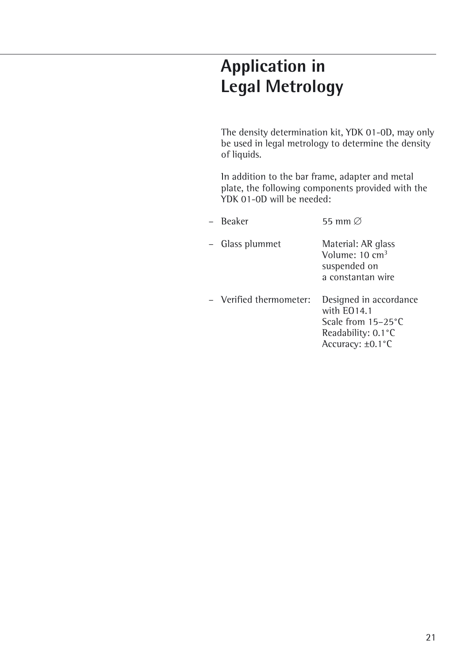## **Application in Legal Metrology**

The density determination kit, YDK 01-0D, may only be used in legal metrology to determine the density of liquids.

In addition to the bar frame, adapter and metal plate, the following components provided with the YDK 01-0D will be needed:

| – Beaker                | 55 mm $\varnothing$                                                                                         |
|-------------------------|-------------------------------------------------------------------------------------------------------------|
| - Glass plummet         | Material: AR glass<br>Volume: 10 cm <sup>3</sup><br>suspended on<br>a constantan wire                       |
| - Verified thermometer: | Designed in accordance<br>with $E014.1$<br>Scale from $15-25$ °C<br>Readability: 0.1 °C<br>Accuracy: ±0.1°C |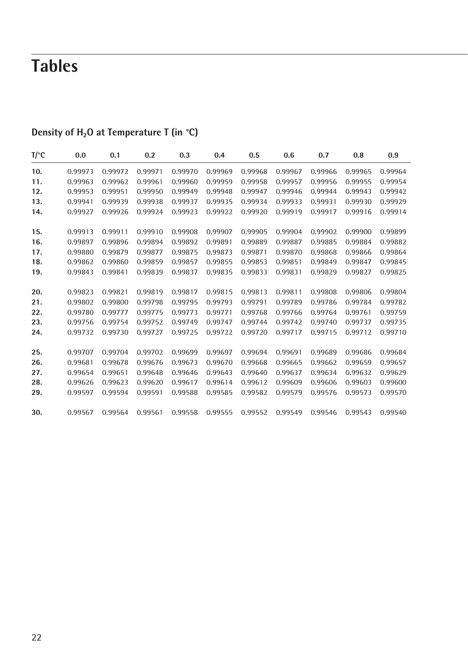## **Tables**

| T/°C | 0.0     | 0.1     | 0.2     | 0.3     | 0.4     | 0.5     | 0.6     | 0.7     | 0.8     | 0.9     |
|------|---------|---------|---------|---------|---------|---------|---------|---------|---------|---------|
| 10.  | 0.99973 | 0.99972 | 0.99971 | 0.99970 | 0.99969 | 0.99968 | 0.99967 | 0.99966 | 0.99965 | 0.99964 |
| 11.  | 0.99963 | 0.99962 | 0.99961 | 0.99960 | 0.99959 | 0.99958 | 0.99957 | 0.99956 | 0.99955 | 0.99954 |
| 12.  | 0.99953 | 0.99951 | 0.99950 | 0.99949 | 0.99948 | 0.99947 | 0.99946 | 0.99944 | 0.99943 | 0.99942 |
| 13.  | 0.99941 | 0.99939 | 0.99938 | 0.99937 | 0.99935 | 0.99934 | 0.99933 | 0.99931 | 0.99930 | 0.99929 |
| 14.  | 0.99927 | 0.99926 | 0.99924 | 0.99923 | 0.99922 | 0.99920 | 0.99919 | 0.99917 | 0.99916 | 0.99914 |
| 15.  | 0.99913 | 0.99911 | 0.99910 | 0.99908 | 0.99907 | 0.99905 | 0.99904 | 0.99902 | 0.99900 | 0.99899 |
| 16.  | 0.99897 | 0.99896 | 0.99894 | 0.99892 | 0.99891 | 0.99889 | 0.99887 | 0.99885 | 0.99884 | 0.99882 |
| 17.  | 0.99880 | 0.99879 | 0.99877 | 0.99875 | 0.99873 | 0.99871 | 0.99870 | 0.99868 | 0.99866 | 0.99864 |
| 18.  | 0.99862 | 0.99860 | 0.99859 | 0.99857 | 0.99855 | 0.99853 | 0.99851 | 0.99849 | 0.99847 | 0.99845 |
| 19.  | 0.99843 | 0.99841 | 0.99839 | 0.99837 | 0.99835 | 0.99833 | 0.99831 | 0.99829 | 0.99827 | 0.99825 |
| 20.  | 0.99823 | 0.99821 | 0.99819 | 0.99817 | 0.99815 | 0.99813 | 0.99811 | 0.99808 | 0.99806 | 0.99804 |
| 21.  | 0.99802 | 0.99800 | 0.99798 | 0.99795 | 0.99793 | 0.99791 | 0.99789 | 0.99786 | 0.99784 | 0.99782 |
| 22.  | 0.99780 | 0.99777 | 0.99775 | 0.99773 | 0.99771 | 0.99768 | 0.99766 | 0.99764 | 0.99761 | 0.99759 |
| 23.  | 0.99756 | 0.99754 | 0.99752 | 0.99749 | 0.99747 | 0.99744 | 0.99742 | 0.99740 | 0.99737 | 0.99735 |
| 24.  | 0.99732 | 0.99730 | 0.99727 | 0.99725 | 0.99722 | 0.99720 | 0.99717 | 0.99715 | 0.99712 | 0.99710 |
| 25.  | 0.99707 | 0.99704 | 0.99702 | 0.99699 | 0.99697 | 0.99694 | 0.99691 | 0.99689 | 0.99686 | 0.99684 |
| 26.  | 0.99681 | 0.99678 | 0.99676 | 0.99673 | 0.99670 | 0.99668 | 0.99665 | 0.99662 | 0.99659 | 0.99657 |
| 27.  | 0.99654 | 0.99651 | 0.99648 | 0.99646 | 0.99643 | 0.99640 | 0.99637 | 0.99634 | 0.99632 | 0.99629 |
| 28.  | 0.99626 | 0.99623 | 0.99620 | 0.99617 | 0.99614 | 0.99612 | 0.99609 | 0.99606 | 0.99603 | 0.99600 |
| 29.  | 0.99597 | 0.99594 | 0.99591 | 0.99588 | 0.99585 | 0.99582 | 0.99579 | 0.99576 | 0.99573 | 0.99570 |
| 30.  | 0.99567 | 0.99564 | 0.99561 | 0.99558 | 0.99555 | 0.99552 | 0.99549 | 0.99546 | 0.99543 | 0.99540 |

### **Density of H<sub>2</sub>O at Temperature T (in °C)**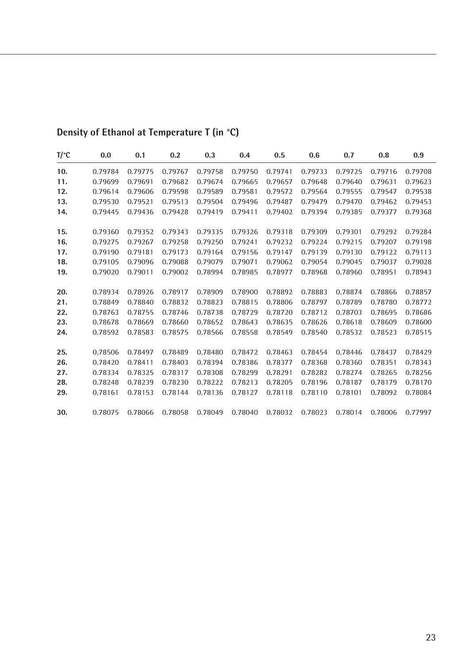| $T$ <sup>o</sup> C | 0.0     | 0.1     | 0.2     | 0.3     | 0.4     | 0.5     | 0.6     | 0.7     | 0.8     | 0.9     |
|--------------------|---------|---------|---------|---------|---------|---------|---------|---------|---------|---------|
| 10.                | 0.79784 | 0.79775 | 0.79767 | 0.79758 | 0.79750 | 0.79741 | 0.79733 | 0.79725 | 0.79716 | 0.79708 |
| 11.                | 0.79699 | 0.79691 | 0.79682 | 0.79674 | 0.79665 | 0.79657 | 0.79648 | 0.79640 | 0.79631 | 0.79623 |
| 12.                | 0.79614 | 0.79606 | 0.79598 | 0.79589 | 0.79581 | 0.79572 | 0.79564 | 0.79555 | 0.79547 | 0.79538 |
| 13.                | 0.79530 | 0.79521 | 0.79513 | 0.79504 | 0.79496 | 0.79487 | 0.79479 | 0.79470 | 0.79462 | 0.79453 |
| 14.                | 0.79445 | 0.79436 | 0.79428 | 0.79419 | 0.79411 | 0.79402 | 0.79394 | 0.79385 | 0.79377 | 0.79368 |
| 15.                | 0.79360 | 0.79352 | 0.79343 | 0.79335 | 0.79326 | 0.79318 | 0.79309 | 0.79301 | 0.79292 | 0.79284 |
| 16.                | 0.79275 | 0.79267 | 0.79258 | 0.79250 | 0.79241 | 0.79232 | 0.79224 | 0.79215 | 0.79207 | 0.79198 |
| 17.                | 0.79190 | 0.79181 | 0.79173 | 0.79164 | 0.79156 | 0.79147 | 0.79139 | 0.79130 | 0.79122 | 0.79113 |
| 18.                | 0.79105 | 0.79096 | 0.79088 | 0.79079 | 0.79071 | 0.79062 | 0.79054 | 0.79045 | 0.79037 | 0.79028 |
| 19.                | 0.79020 | 0.79011 | 0.79002 | 0.78994 | 0.78985 | 0.78977 | 0.78968 | 0.78960 | 0.78951 | 0.78943 |
| 20.                | 0.78934 | 0.78926 | 0.78917 | 0.78909 | 0.78900 | 0.78892 | 0.78883 | 0.78874 | 0.78866 | 0.78857 |
| 21.                | 0.78849 | 0.78840 | 0.78832 | 0.78823 | 0.78815 | 0.78806 | 0.78797 | 0.78789 | 0.78780 | 0.78772 |
| 22.                | 0.78763 | 0.78755 | 0.78746 | 0.78738 | 0.78729 | 0.78720 | 0.78712 | 0.78703 | 0.78695 | 0.78686 |
| 23.                | 0.78678 | 0.78669 | 0.78660 | 0.78652 | 0.78643 | 0.78635 | 0.78626 | 0.78618 | 0.78609 | 0.78600 |
| 24.                | 0.78592 | 0.78583 | 0.78575 | 0.78566 | 0.78558 | 0.78549 | 0.78540 | 0.78532 | 0.78523 | 0.78515 |
| 25.                | 0.78506 | 0.78497 | 0.78489 | 0.78480 | 0.78472 | 0.78463 | 0.78454 | 0.78446 | 0.78437 | 0.78429 |
| 26.                | 0.78420 | 0.78411 | 0.78403 | 0.78394 | 0.78386 | 0.78377 | 0.78368 | 0.78360 | 0.78351 | 0.78343 |
| 27.                | 0.78334 | 0.78325 | 0.78317 | 0.78308 | 0.78299 | 0.78291 | 0.78282 | 0.78274 | 0.78265 | 0.78256 |
| 28.                | 0.78248 | 0.78239 | 0.78230 | 0.78222 | 0.78213 | 0.78205 | 0.78196 | 0.78187 | 0.78179 | 0.78170 |
| 29.                | 0.78161 | 0.78153 | 0.78144 | 0.78136 | 0.78127 | 0.78118 | 0.78110 | 0.78101 | 0.78092 | 0.78084 |
| 30.                | 0.78075 | 0.78066 | 0.78058 | 0.78049 | 0.78040 | 0.78032 | 0.78023 | 0.78014 | 0.78006 | 0.77997 |

### **Density of Ethanol at Temperature T (in °C)**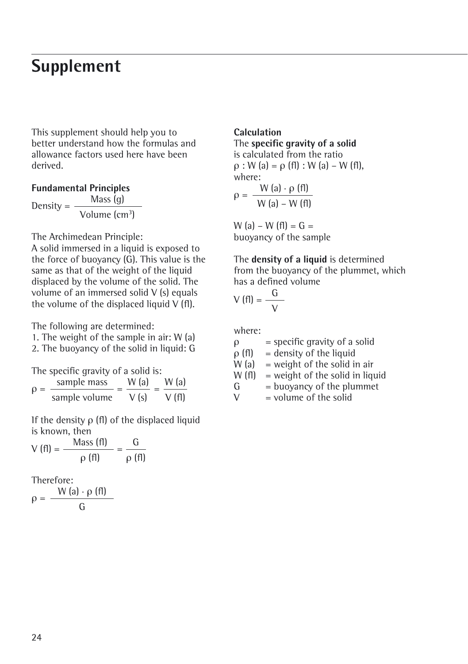### **Supplement**

This supplement should help you to better understand how the formulas and allowance factors used here have been derived.

#### **Fundamental Principles**

Density =  $\frac{\text{Mass (g)}}{\text{Volume (cm}^3)}}$ 

The Archimedean Principle:

A solid immersed in a liquid is exposed to the force of buoyancy (G). This value is the same as that of the weight of the liquid displaced by the volume of the solid. The volume of an immersed solid V (s) equals the volume of the displaced liquid  $V$  (fl).

The following are determined:

- 1. The weight of the sample in air: W (a)
- 2. The buoyancy of the solid in liquid: G

The specific gravity of a solid is:

 $\rho = \frac{\text{sample mass}}{\text{sample volume}} = \frac{W(\text{a})}{V(\text{s})} = \frac{W(\text{a})}{V(\text{f})}$ V (fl) W (a) V (s)

If the density ρ (fl) of the displaced liquid is known, then

$$
V(fI) = \frac{Mass(fI)}{\rho(fI)} = \frac{G}{\rho(fI)}
$$

Therefore:

$$
\rho = \frac{W(a) \cdot \rho(f)}{G}
$$

#### **Calculation**

#### The **specific gravity of a solid** is calculated from the ratio

 $\rho$  : W (a) =  $\rho$  (fl) : W (a) – W (fl), where:

$$
\rho = \frac{W(a) \cdot \rho(f)}{W(a) - W(f)}
$$

W (a) – W (fl) =  $G =$ buoyancy of the sample

The **density of a liquid** is determined from the buoyancy of the plummet, which has a defined volume

$$
V(fI) = \frac{G}{V}
$$

where:

 $\rho$  = specific gravity of a solid

 $\rho$  (fl) = density of the liquid<br>W (a) = weight of the solid in

 $=$  weight of the solid in air

 $W(f)$  = weight of the solid in liquid

$$
G = buoyancy of the plummet
$$

 $V = volume of the solid$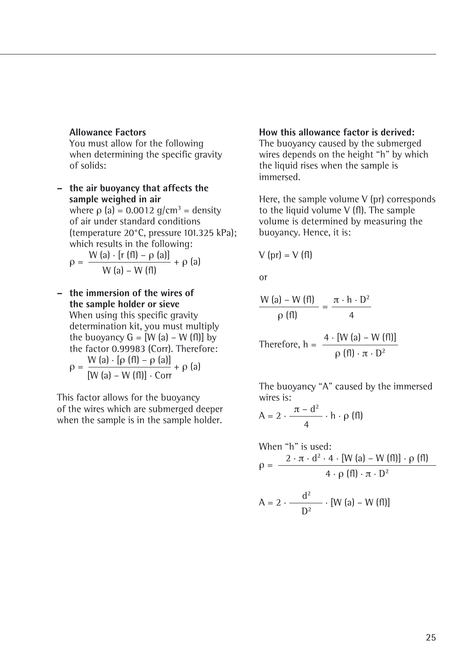#### **Allowance Factors**

You must allow for the following when determining the specific gravity of solids:

**– the air buoyancy that affects the sample weighed in air** where  $\rho$  (a) = 0.0012 g/cm<sup>3</sup> = density of air under standard conditions (temperature 20°C, pressure 101.325 kPa); which results in the following:  $\cdots$   $\cdots$   $\cdots$ 

$$
\rho = \frac{W (a) \cdot [r (t)] - \rho (a)]}{W (a) - W (t)} + \rho (a)
$$

**– the immersion of the wires of the sample holder or sieve** When using this specific gravity determination kit, you must multiply the buoyancy  $G = [W (a) - W (f)]$  by the factor 0.99983 (Corr). Therefore:  $W(a)$  [<sub>0</sub> (fl) –  $c$  (e)]

$$
\rho = \frac{W (a) \cdot [p (h) - p (a)]}{[W (a) - W (f)] \cdot Corr} + \rho (a)
$$

This factor allows for the buoyancy of the wires which are submerged deeper when the sample is in the sample holder.

#### **How this allowance factor is derived:**

The buoyancy caused by the submerged wires depends on the height "h" by which the liquid rises when the sample is immersed.

Here, the sample volume V (pr) corresponds to the liquid volume V (fl). The sample volume is determined by measuring the buoyancy. Hence, it is:

$$
V (pr) = V (fl)
$$

or

$$
\frac{W (a) - W (f1)}{\rho (f1)} = \frac{\pi \cdot h \cdot D^2}{4}
$$
  
Therefore, 
$$
h = \frac{4 \cdot [W (a) - W (f1)]}{\rho (f1) \cdot \pi \cdot D^2}
$$

The buoyancy "A" caused by the immersed wires is:

$$
A = 2 \cdot \frac{\pi - d^2}{4} \cdot h \cdot \rho \text{ (fl)}
$$

When "h" is used:  
\n
$$
\rho = \frac{2 \cdot \pi \cdot d^2 \cdot 4 \cdot [W (a) - W (f I)] \cdot \rho (f I)}{4 \cdot \rho (f I) \cdot \pi \cdot D^2}
$$
\n
$$
A = 2 \cdot \frac{d^2}{D^2} \cdot [W (a) - W (f I)]
$$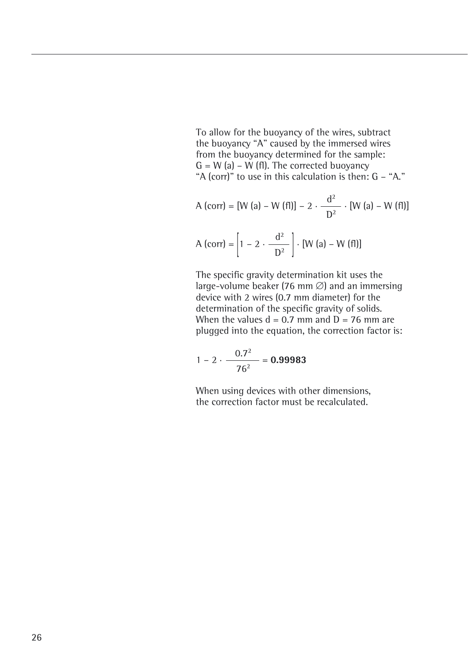To allow for the buoyancy of the wires, subtract the buoyancy "A" caused by the immersed wires from the buoyancy determined for the sample:  $G = W$  (a) – W (fl). The corrected buoyancy "A (corr)" to use in this calculation is then: G – "A."

A (corr) = [W (a) – W (f1)] – 2 · 
$$
\frac{d^2}{D^2}
$$
 · [W (a) – W (f1)]  
A (corr) =  $\left[1 - 2 \cdot \frac{d^2}{D^2}\right]$  · [W (a) – W (f1)]

The specific gravity determination kit uses the large-volume beaker (76 mm  $\varnothing$ ) and an immersing device with 2 wires (0.7 mm diameter) for the determination of the specific gravity of solids. When the values  $d = 0.7$  mm and  $\overline{D} = 76$  mm are plugged into the equation, the correction factor is:

$$
1 - 2 \cdot \frac{0.7^2}{76^2} = 0.99983
$$

When using devices with other dimensions, the correction factor must be recalculated.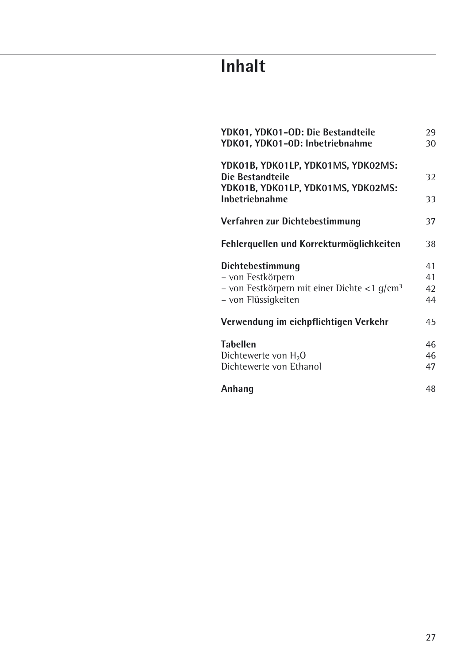## **Inhalt**

| YDK01, YDK01-OD: Die Bestandteile<br>YDK01, YDK01-0D: Inbetriebnahme                                           | 29<br>30             |
|----------------------------------------------------------------------------------------------------------------|----------------------|
| YDK01B, YDK01LP, YDK01MS, YDK02MS:<br>Die Bestandteile<br>YDK01B, YDK01LP, YDK01MS, YDK02MS:<br>Inbetriebnahme | 32<br>33             |
| Verfahren zur Dichtebestimmung                                                                                 | 37                   |
| Fehlerquellen und Korrekturmöglichkeiten                                                                       | 38                   |
| Dichtebestimmung<br>- von Festkörpern<br>– von Festkörpern mit einer Dichte <1 $q/cm^3$<br>– von Flüssigkeiten | 41<br>41<br>42<br>44 |
| Verwendung im eichpflichtigen Verkehr                                                                          | 45                   |
| <b>Tabellen</b><br>Dichtewerte von $H_2O$<br>Dichtewerte von Ethanol                                           | 46<br>46<br>47       |
| Anhang                                                                                                         | 48                   |
|                                                                                                                |                      |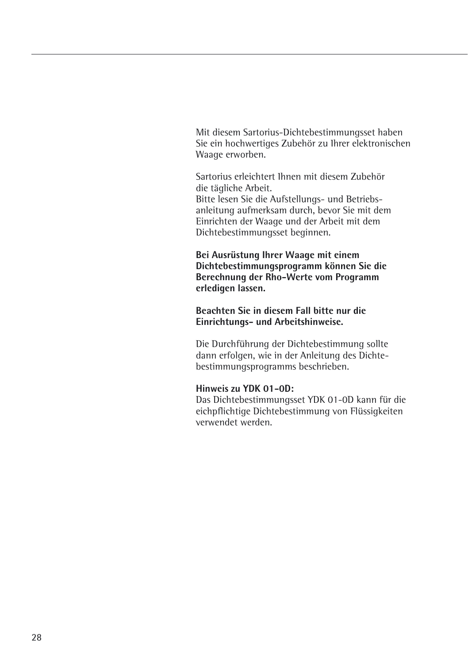Mit diesem Sartorius-Dichtebestimmungsset haben Sie ein hochwertiges Zubehör zu Ihrer elektronischen Waage erworben.

Sartorius erleichtert Ihnen mit diesem Zubehör die tägliche Arbeit. Bitte lesen Sie die Aufstellungs- und Betriebsanleitung aufmerksam durch, bevor Sie mit dem Einrichten der Waage und der Arbeit mit dem Dichtebestimmungsset beginnen.

**Bei Ausrüstung Ihrer Waage mit einem Dichtebestimmungsprogramm können Sie die Berechnung der Rho-Werte vom Programm erledigen lassen.**

**Beachten Sie in diesem Fall bitte nur die Einrichtungs- und Arbeitshinweise.**

Die Durchführung der Dichtebestimmung sollte dann erfolgen, wie in der Anleitung des Dichtebestimmungsprogramms beschrieben.

#### **Hinweis zu YDK 01-0D:**

Das Dichtebestimmungsset YDK 01-0D kann für die eichpflichtige Dichtebestimmung von Flüssigkeiten verwendet werden.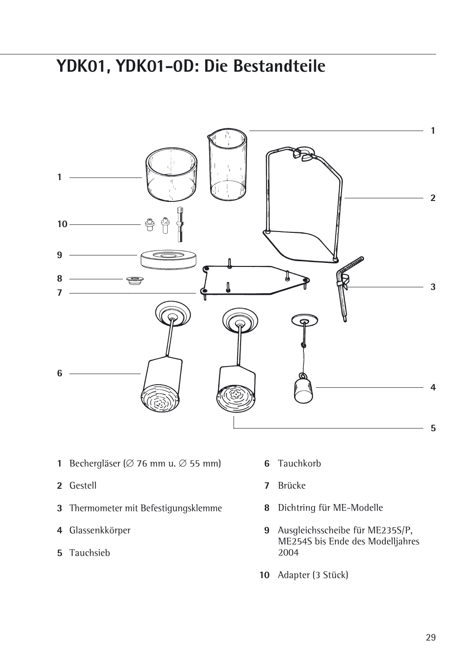## **YDK01, YDK01-0D: Die Bestandteile**



- **1** Bechergläser ( $\varnothing$  76 mm u.  $\varnothing$  55 mm)
- Gestell
- Thermometer mit Befestigungsklemme
- Glassenkkörper
- Tauchsieb
- Tauchkorb
- Brücke
- Dichtring für ME-Modelle
- Ausgleichsscheibe für ME235S/P, ME254S bis Ende des Modelljahres
- Adapter (3 Stück)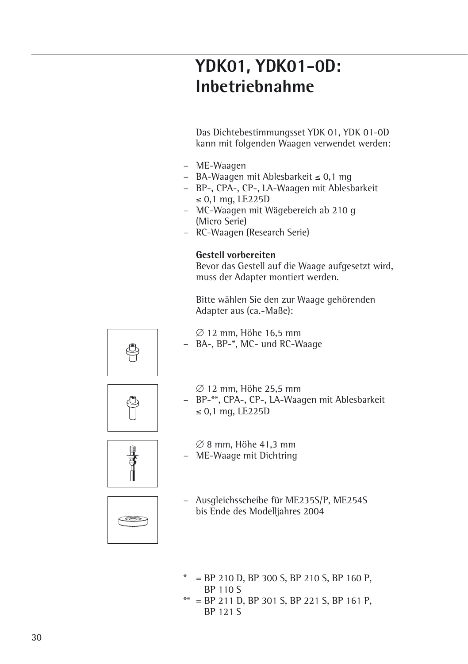### **YDK01, YDK01-0D: Inbetriebnahme**

Das Dichtebestimmungsset YDK 01, YDK 01-0D kann mit folgenden Waagen verwendet werden:

- ME-Waagen
- $-$  BA-Waagen mit Ablesbarkeit  $\leq 0,1$  mg
- BP-, CPA-, CP-, LA-Waagen mit Ablesbarkeit  $\leq$  0.1 mg, LE225D
- MC-Waagen mit Wägebereich ab 210 g (Micro Serie)
- RC-Waagen (Research Serie)

#### **Gestell vorbereiten**

Bevor das Gestell auf die Waage aufgesetzt wird, muss der Adapter montiert werden.

Bitte wählen Sie den zur Waage gehörenden Adapter aus (ca.-Maße):



 $\varnothing$  12 mm, Höhe 16.5 mm – BA-, BP-\*, MC- und RC-Waage



 $\varnothing$  12 mm, Höhe 25.5 mm – BP-\*\*, CPA-, CP-, LA-Waagen mit Ablesbarkeit  $\leq 0.1$  mg, LE225D



<del>en</del>

- $\varnothing$  8 mm, Höhe 41.3 mm – ME-Waage mit Dichtring
- Ausgleichsscheibe für ME235S/P, ME254S bis Ende des Modelljahres 2004
- $=$  BP 210 D, BP 300 S, BP 210 S, BP 160 P, BP 110 S
- $=$  BP 211 D, BP 301 S, BP 221 S, BP 161 P, BP 121 S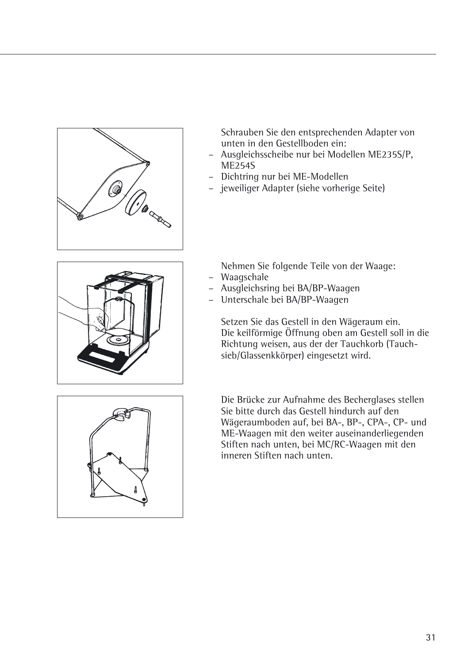

Schrauben Sie den entsprechenden Adapter von unten in den Gestellboden ein:

- Ausgleichsscheibe nur bei Modellen ME235S/P, ME254S
- Dichtring nur bei ME-Modellen
- jeweiliger Adapter (siehe vorherige Seite)



Nehmen Sie folgende Teile von der Waage: – Waagschale

- Ausgleichsring bei BA/BP-Waagen
- Unterschale bei BA/BP-Waagen

Setzen Sie das Gestell in den Wägeraum ein. Die keilförmige Öffnung oben am Gestell soll in die Richtung weisen, aus der der Tauchkorb (Tauchsieb/Glassenkkörper) eingesetzt wird.



Die Brücke zur Aufnahme des Becherglases stellen Sie bitte durch das Gestell hindurch auf den Wägeraumboden auf, bei BA-, BP-, CPA-, CP- und ME-Waagen mit den weiter auseinanderliegenden Stiften nach unten, bei MC/RC-Waagen mit den inneren Stiften nach unten.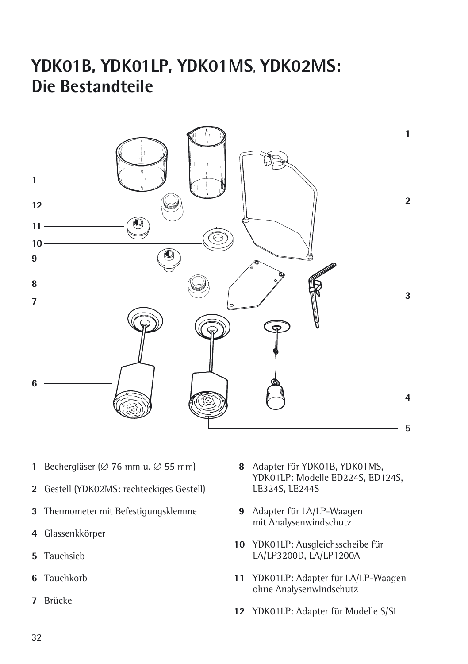## **YDK01B, YDK01LP, YDK01MS, YDK02MS: Die Bestandteile**



- **1** Bechergläser ( $\varnothing$  76 mm u.  $\varnothing$  55 mm)
- Gestell (YDK02MS: rechteckiges Gestell)
- Thermometer mit Befestigungsklemme
- Glassenkkörper
- Tauchsieb
- Tauchkorb
- Brücke
- Adapter für YDK01B, YDK01MS, YDK01LP: Modelle ED224S, ED124S, LE324S, LE244S
- Adapter für LA/LP-Waagen mit Analysenwindschutz
- YDK01LP: Ausgleichsscheibe für LA/LP3200D, LA/LP1200A
- YDK01LP: Adapter für LA/LP-Waagen ohne Analysenwindschutz
- YDK01LP: Adapter für Modelle S/SI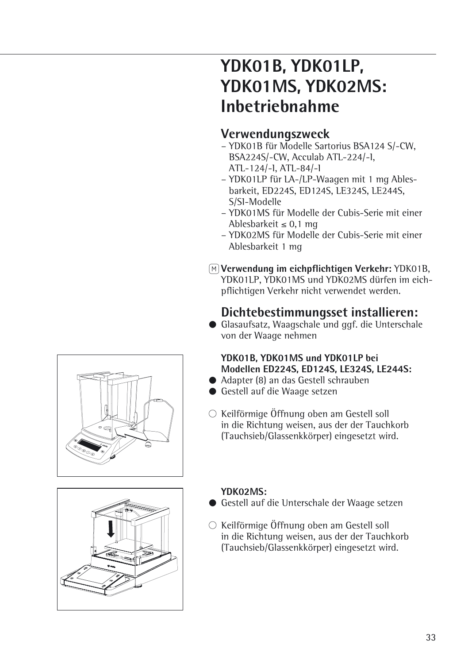## **YDK01B, YDK01LP, YDK01MS, YDK02MS: Inbetriebnahme**

### **Verwendungszweck**

- YDK01B für Modelle Sartorius BSA124 S/-CW, BSA224S/-CW, Acculab ATL-224/-I, ATL-124/-I, ATL-84/-I
- YDK01LP für LA-/LP-Waagen mit 1 mg Ablesbarkeit, ED224S, ED124S, LE324S, LE244S, S/SI-Modelle
- YDK01MS für Modelle der Cubis-Serie mit einer Ablesbarkeit  $< 0.1$  mg
- YDK02MS für Modelle der Cubis-Serie mit einer Ablesbarkeit 1 mg
- Q**Verwendung im eichpflichtigen Verkehr:** YDK01B, YDK01LP, YDK01MS und YDK02MS dürfen im eichpflichtigen Verkehr nicht verwendet werden.

### **Dichtebestimmungsset installieren:**

§ Glasaufsatz, Waagschale und ggf. die Unterschale von der Waage nehmen

#### **YDK01B, YDK01MS und YDK01LP bei Modellen ED224S, ED124S, LE324S, LE244S:**

- § Adapter (8) an das Gestell schrauben
- § Gestell auf die Waage setzen
- $\circlearrowright$  Keilförmige Öffnung oben am Gestell soll in die Richtung weisen, aus der der Tauchkorb (Tauchsieb/Glassenkkörper) eingesetzt wird.



#### **YDK02MS:**

- Gestell auf die Unterschale der Waage setzen
- $\circlearrowright$  Keilförmige Öffnung oben am Gestell soll in die Richtung weisen, aus der der Tauchkorb (Tauchsieb/Glassenkkörper) eingesetzt wird.



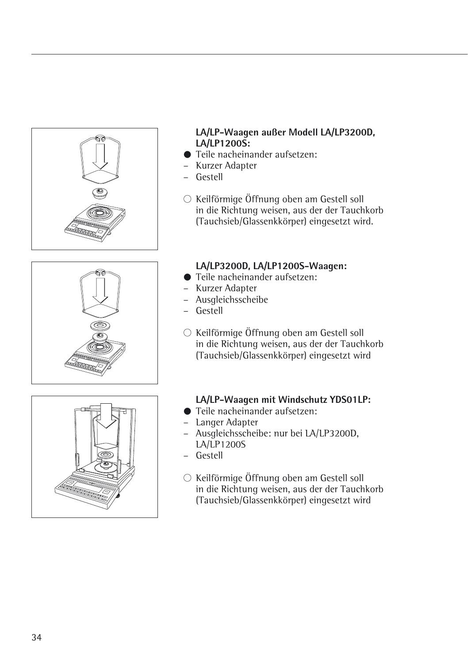





#### **LA/LP-Waagen außer Modell LA/LP3200D, LA/LP1200S:**

- Teile nacheinander aufsetzen:
- Kurzer Adapter
- Gestell
- $\circlearrowright$  Keilförmige Öffnung oben am Gestell soll in die Richtung weisen, aus der der Tauchkorb (Tauchsieb/Glassenkkörper) eingesetzt wird.

#### **LA/LP3200D, LA/LP1200S-Waagen:**

- Teile nacheinander aufsetzen:
- Kurzer Adapter
- Ausgleichsscheibe
- Gestell
- $\circlearrowright$  Keilförmige Öffnung oben am Gestell soll in die Richtung weisen, aus der der Tauchkorb (Tauchsieb/Glassenkkörper) eingesetzt wird

#### **LA/LP-Waagen mit Windschutz YDS01LP:**

- Teile nacheinander aufsetzen:
- Langer Adapter
- Ausgleichsscheibe: nur bei LA/LP3200D, LA/LP1200S
- Gestell
- $\circlearrowright$  Keilförmige Öffnung oben am Gestell soll in die Richtung weisen, aus der der Tauchkorb (Tauchsieb/Glassenkkörper) eingesetzt wird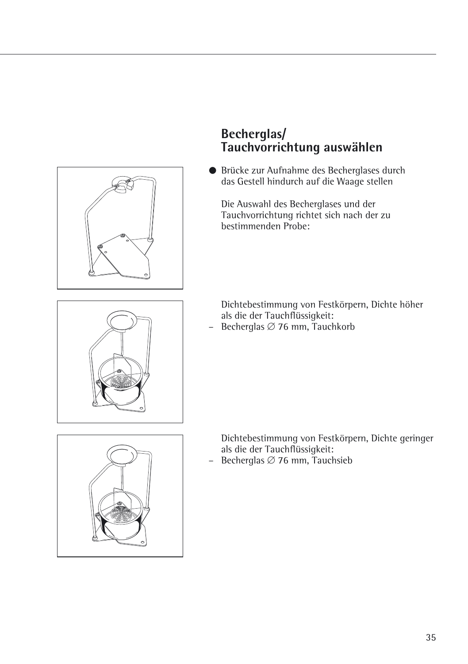

### **Becherglas/ Tauchvorrichtung auswählen**

§ Brücke zur Aufnahme des Becherglases durch das Gestell hindurch auf die Waage stellen

Die Auswahl des Becherglases und der Tauchvorrichtung richtet sich nach der zu bestimmenden Probe:

Dichtebestimmung von Festkörpern, Dichte höher als die der Tauchflüssigkeit:

- Becherglas  $\varnothing$  76 mm, Tauchkorb



Dichtebestimmung von Festkörpern, Dichte geringer als die der Tauchflüssigkeit:

- Becherglas  $\varnothing$  76 mm, Tauchsieb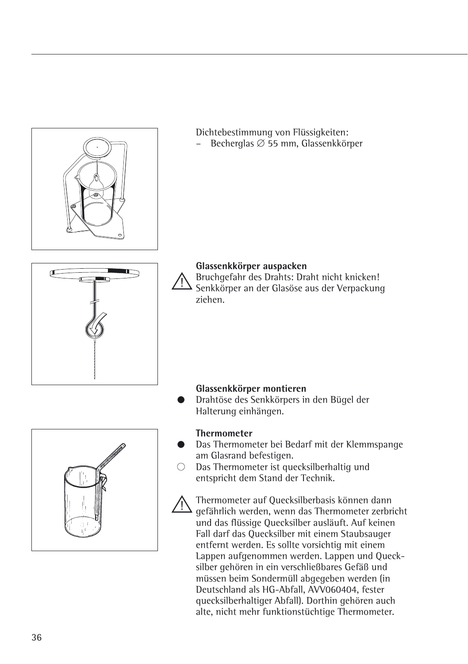# Dichtebestimmung von Flüssigkeiten: Becherglas  $\varnothing$  55 mm, Glassenkkörper **Glassenkkörper auspacken** !Bruchgefahr des Drahts: Draht nicht knicken! Senkkörper an der Glasöse aus der Verpackung ziehen. **Glassenkkörper montieren** § Drahtöse des Senkkörpers in den Bügel der Halterung einhängen. **Thermometer** Das Thermometer bei Bedarf mit der Klemmspange am Glasrand befestigen.

 $O$  Das Thermometer ist quecksilberhaltig und entspricht dem Stand der Technik.

!Thermometer auf Quecksilberbasis können dann gefährlich werden, wenn das Thermometer zerbricht und das flüssige Quecksilber ausläuft. Auf keinen Fall darf das Quecksilber mit einem Staubsauger entfernt werden. Es sollte vorsichtig mit einem Lappen aufgenommen werden. Lappen und Quecksilber gehören in ein verschließbares Gefäß und müssen beim Sondermüll abgegeben werden (in Deutschland als HG-Abfall, AVV060404, fester quecksilberhaltiger Abfall). Dorthin gehören auch alte, nicht mehr funktionstüchtige Thermometer.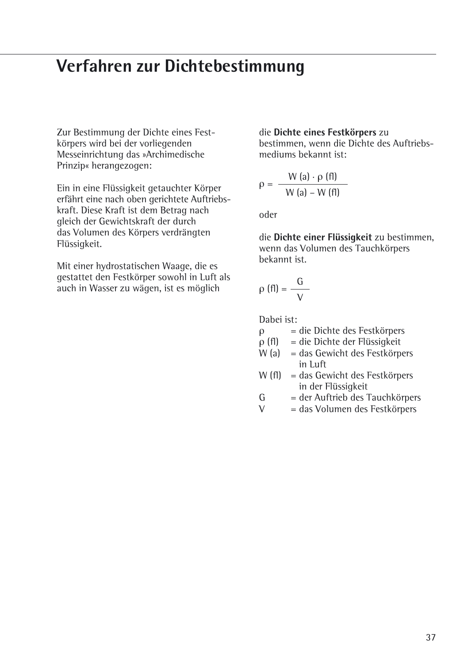## **Verfahren zur Dichtebestimmung**

Zur Bestimmung der Dichte eines Festkörpers wird bei der vorliegenden Messeinrichtung das »Archimedische Prinzip« herangezogen:

Ein in eine Flüssigkeit getauchter Körper erfährt eine nach oben gerichtete Auftriebskraft. Diese Kraft ist dem Betrag nach gleich der Gewichtskraft der durch das Volumen des Körpers verdrängten Flüssigkeit.

Mit einer hydrostatischen Waage, die es gestattet den Festkörper sowohl in Luft als auch in Wasser zu wägen, ist es möglich

#### die **Dichte eines Festkörpers** zu

bestimmen, wenn die Dichte des Auftriebsmediums bekannt ist:

$$
\rho = \frac{W(a) \cdot \rho(fI)}{W(a) - W(fI)}
$$

oder

die **Dichte einer Flüssigkeit** zu bestimmen, wenn das Volumen des Tauchkörpers bekannt ist.

$$
\rho\text{ (fl)}=\frac{G}{V}
$$

Dabei ist:

 $ρ = die Dichte des Festkörpers   
\nρ (fl) = die Dichte der Flüssigkeit$ 

 $=$  die Dichte der Flüssigkeit

 $W(a)$  = das Gewicht des Festkörpers in Luft

- W (fl) = das Gewicht des Festkörpers in der Flüssigkeit
- $G = der Auftrieb des Tauchkörpers$ <br>  $V = das Volumen des Festkörners$

= das Volumen des Festkörpers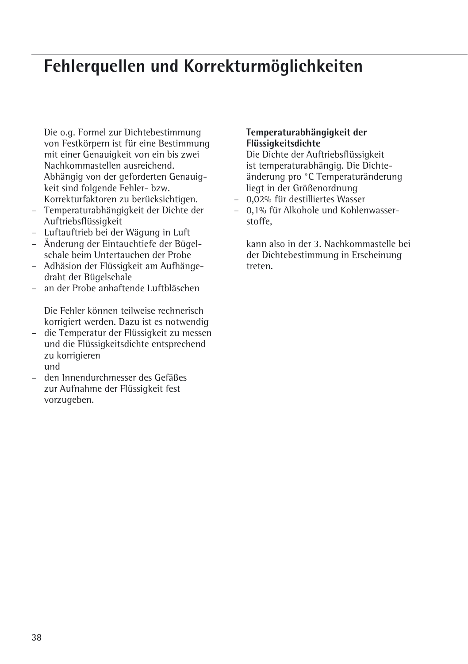## **Fehlerquellen und Korrekturmöglichkeiten**

Die o.g. Formel zur Dichtebestimmung von Festkörpern ist für eine Bestimmung mit einer Genauigkeit von ein bis zwei Nachkommastellen ausreichend. Abhängig von der geforderten Genauigkeit sind folgende Fehler- bzw. Korrekturfaktoren zu berücksichtigen.

- Temperaturabhängigkeit der Dichte der Auftriebsflüssigkeit
- Luftauftrieb bei der Wägung in Luft
- Änderung der Eintauchtiefe der Bügelschale beim Untertauchen der Probe
- Adhäsion der Flüssigkeit am Aufhängedraht der Bügelschale
- an der Probe anhaftende Luftbläschen

Die Fehler können teilweise rechnerisch korrigiert werden. Dazu ist es notwendig

- die Temperatur der Flüssigkeit zu messen und die Flüssigkeitsdichte entsprechend zu korrigieren und
- den Innendurchmesser des Gefäßes zur Aufnahme der Flüssigkeit fest vorzugeben.

### **Temperaturabhängigkeit der Flüssigkeitsdichte**

Die Dichte der Auftriebsflüssigkeit ist temperaturabhängig. Die Dichteänderung pro °C Temperaturänderung liegt in der Größenordnung

- 0,02% für destilliertes Wasser
- 0,1% für Alkohole und Kohlenwasserstoffe,

kann also in der 3. Nachkommastelle bei der Dichtebestimmung in Erscheinung treten.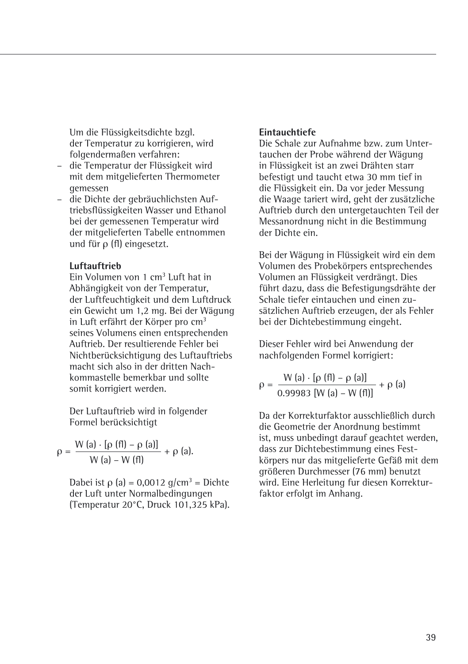Um die Flüssigkeitsdichte bzgl. der Temperatur zu korrigieren, wird folgendermaßen verfahren:

- die Temperatur der Flüssigkeit wird mit dem mitgelieferten Thermometer gemessen
- die Dichte der gebräuchlichsten Auftriebsflüssigkeiten Wasser und Ethanol bei der gemessenen Temperatur wird der mitgelieferten Tabelle entnommen und für ρ (fl) eingesetzt.

#### **Luftauftrieb**

Ein Volumen von 1 cm3 Luft hat in Abhängigkeit von der Temperatur, der Luftfeuchtigkeit und dem Luftdruck ein Gewicht um 1,2 mg. Bei der Wägung in Luft erfährt der Körper pro cm<sup>3</sup> seines Volumens einen entsprechenden Auftrieb. Der resultierende Fehler bei Nichtberücksichtigung des Luftauftriebs macht sich also in der dritten Nachkommastelle bemerkbar und sollte somit korrigiert werden.

Der Luftauftrieb wird in folgender Formel berücksichtigt

$$
\rho = \frac{W (a) \cdot [\rho (f I) - \rho (a)]}{W (a) - W (f I)} + \rho (a).
$$

Dabei ist ρ (a) = 0,0012 g/cm<sup>3</sup> = Dichte der Luft unter Normalbedingungen (Temperatur 20°C, Druck 101,325 kPa).

## **Eintauchtiefe**

Die Schale zur Aufnahme bzw. zum Untertauchen der Probe während der Wägung in Flüssigkeit ist an zwei Drähten starr befestigt und taucht etwa 30 mm tief in die Flüssigkeit ein. Da vor jeder Messung die Waage tariert wird, geht der zusätzliche Auftrieb durch den untergetauchten Teil der Messanordnung nicht in die Bestimmung der Dichte ein.

Bei der Wägung in Flüssigkeit wird ein dem Volumen des Probekörpers entsprechendes Volumen an Flüssigkeit verdrängt. Dies führt dazu, dass die Befestigungsdrähte der Schale tiefer eintauchen und einen zusätzlichen Auftrieb erzeugen, der als Fehler bei der Dichtebestimmung eingeht.

Dieser Fehler wird bei Anwendung der nachfolgenden Formel korrigiert:

$$
\rho = \frac{W (a) \cdot [\rho (f I) - \rho (a)]}{0.99983 [W (a) - W (f I)]} + \rho (a)
$$

Da der Korrekturfaktor ausschließlich durch die Geometrie der Anordnung bestimmt ist, muss unbedingt darauf geachtet werden, dass zur Dichtebestimmung eines Festkörpers nur das mitgelieferte Gefäß mit dem größeren Durchmesser (76 mm) benutzt wird. Eine Herleitung fur diesen Korrekturfaktor erfolgt im Anhang.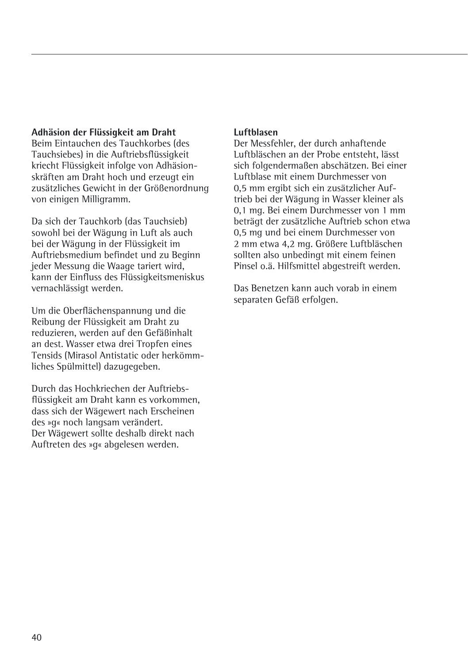## **Adhäsion der Flüssigkeit am Draht**

Beim Eintauchen des Tauchkorbes (des Tauchsiebes) in die Auftriebsflüssigkeit kriecht Flüssigkeit infolge von Adhäsionskräften am Draht hoch und erzeugt ein zusätzliches Gewicht in der Größenordnung von einigen Milligramm.

Da sich der Tauchkorb (das Tauchsieb) sowohl bei der Wägung in Luft als auch bei der Wägung in der Flüssigkeit im Auftriebsmedium befindet und zu Beginn jeder Messung die Waage tariert wird, kann der Einfluss des Flüssigkeitsmeniskus vernachlässigt werden.

Um die Oberflächenspannung und die Reibung der Flüssigkeit am Draht zu reduzieren, werden auf den Gefäßinhalt an dest. Wasser etwa drei Tropfen eines Tensids (Mirasol Antistatic oder herkömmliches Spülmittel) dazugegeben.

Durch das Hochkriechen der Auftriebsflüssigkeit am Draht kann es vorkommen, dass sich der Wägewert nach Erscheinen des »g« noch langsam verändert. Der Wägewert sollte deshalb direkt nach Auftreten des »g« abgelesen werden.

### **Luftblasen**

Der Messfehler, der durch anhaftende Luftbläschen an der Probe entsteht, lässt sich folgendermaßen abschätzen. Bei einer Luftblase mit einem Durchmesser von 0,5 mm ergibt sich ein zusätzlicher Auftrieb bei der Wägung in Wasser kleiner als 0,1 mg. Bei einem Durchmesser von 1 mm beträgt der zusätzliche Auftrieb schon etwa 0,5 mg und bei einem Durchmesser von 2 mm etwa 4,2 mg. Größere Luftbläschen sollten also unbedingt mit einem feinen Pinsel o.ä. Hilfsmittel abgestreift werden.

Das Benetzen kann auch vorab in einem separaten Gefäß erfolgen.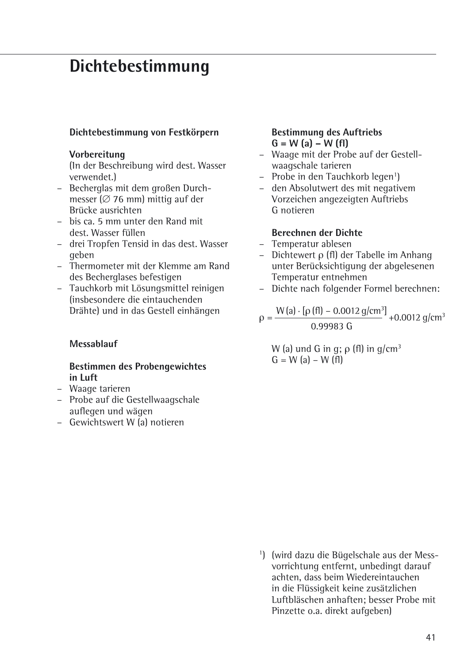## **Dichtebestimmung**

## **Dichtebestimmung von Festkörpern**

#### **Vorbereitung**

(In der Beschreibung wird dest. Wasser verwendet.)

- Becherglas mit dem großen Durchmesser ( $\varnothing$  76 mm) mittig auf der Brücke ausrichten
- bis ca. 5 mm unter den Rand mit dest. Wasser füllen
- drei Tropfen Tensid in das dest. Wasser geben
- Thermometer mit der Klemme am Rand des Becherglases befestigen
- Tauchkorb mit Lösungsmittel reinigen (insbesondere die eintauchenden Drähte) und in das Gestell einhängen

## **Messablauf**

## **Bestimmen des Probengewichtes in Luft**

- Waage tarieren
- Probe auf die Gestellwaagschale auflegen und wägen
- Gewichtswert W (a) notieren

## **Bestimmung des Auftriebs G = W (a) – W (fl)**

- Waage mit der Probe auf der Gestellwaagschale tarieren
- Probe in den Tauchkorb legen<sup>1</sup>)
- den Absolutwert des mit negativem Vorzeichen angezeigten Auftriebs G notieren

## **Berechnen der Dichte**

- Temperatur ablesen
- Dichtewert ρ (fl) der Tabelle im Anhang unter Berücksichtigung der abgelesenen Temperatur entnehmen
- Dichte nach folgender Formel berechnen:

$$
\rho = \frac{W(a) \cdot [\rho(f\theta) - 0.0012 \text{ g/cm}^3]}{0.99983 \text{ G}} + 0.0012 \text{ g/cm}^3
$$

W (a) und G in q;  $\rho$  (fl) in  $q/cm^3$  $G = W(a) - W(f)$ 

1 ) (wird dazu die Bügelschale aus der Messvorrichtung entfernt, unbedingt darauf achten, dass beim Wiedereintauchen in die Flüssigkeit keine zusätzlichen Luftbläschen anhaften; besser Probe mit Pinzette o.a. direkt aufgeben)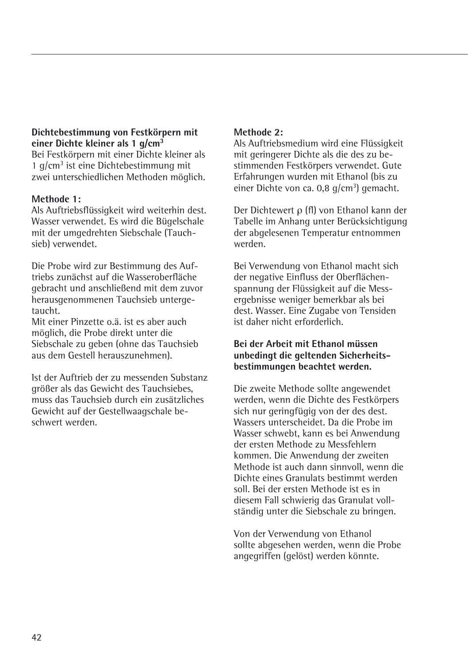## **Dichtebestimmung von Festkörpern mit einer Dichte kleiner als 1 g/cm3**

Bei Festkörpern mit einer Dichte kleiner als 1 g/cm3 ist eine Dichtebestimmung mit zwei unterschiedlichen Methoden möglich.

## **Methode 1:**

Als Auftriebsflüssigkeit wird weiterhin dest. Wasser verwendet. Es wird die Bügelschale mit der umgedrehten Siebschale (Tauchsieb) verwendet.

Die Probe wird zur Bestimmung des Auftriebs zunächst auf die Wasseroberfläche gebracht und anschließend mit dem zuvor herausgenommenen Tauchsieb untergetaucht.

Mit einer Pinzette o.ä. ist es aber auch möglich, die Probe direkt unter die Siebschale zu geben (ohne das Tauchsieb aus dem Gestell herauszunehmen).

Ist der Auftrieb der zu messenden Substanz größer als das Gewicht des Tauchsiebes, muss das Tauchsieb durch ein zusätzliches Gewicht auf der Gestellwaagschale beschwert werden.

## **Methode 2:**

Als Auftriebsmedium wird eine Flüssigkeit mit geringerer Dichte als die des zu bestimmenden Festkörpers verwendet. Gute Erfahrungen wurden mit Ethanol (bis zu einer Dichte von ca. 0,8 g/cm<sup>3</sup>) gemacht.

Der Dichtewert ρ (fl) von Ethanol kann der Tabelle im Anhang unter Berücksichtigung der abgelesenen Temperatur entnommen werden.

Bei Verwendung von Ethanol macht sich der negative Einfluss der Oberflächenspannung der Flüssigkeit auf die Messergebnisse weniger bemerkbar als bei dest. Wasser. Eine Zugabe von Tensiden ist daher nicht erforderlich.

## **Bei der Arbeit mit Ethanol müssen unbedingt die geltenden Sicherheitsbestimmungen beachtet werden.**

Die zweite Methode sollte angewendet werden, wenn die Dichte des Festkörpers sich nur geringfügig von der des dest. Wassers unterscheidet. Da die Probe im Wasser schwebt, kann es bei Anwendung der ersten Methode zu Messfehlern kommen. Die Anwendung der zweiten Methode ist auch dann sinnvoll, wenn die Dichte eines Granulats bestimmt werden soll. Bei der ersten Methode ist es in diesem Fall schwierig das Granulat vollständig unter die Siebschale zu bringen.

Von der Verwendung von Ethanol sollte abgesehen werden, wenn die Probe angegriffen (gelöst) werden könnte.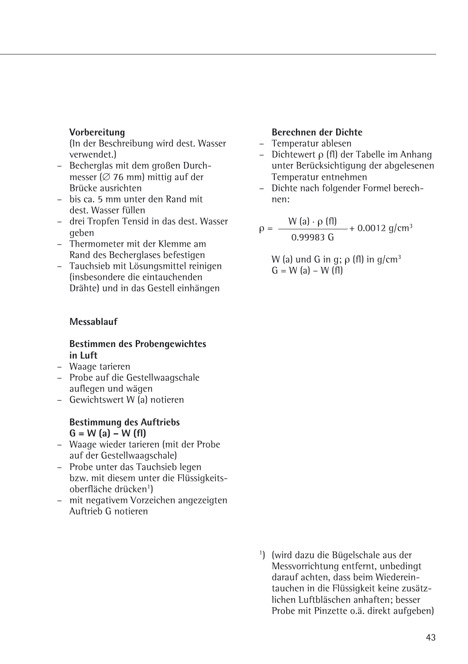### **Vorbereitung**

(In der Beschreibung wird dest. Wasser verwendet.)

- Becherglas mit dem großen Durchmesser  $\cancel{0}$  76 mm) mittig auf der Brücke ausrichten
- bis ca. 5 mm unter den Rand mit dest. Wasser füllen
- drei Tropfen Tensid in das dest. Wasser geben
- Thermometer mit der Klemme am Rand des Becherglases befestigen
- Tauchsieb mit Lösungsmittel reinigen (insbesondere die eintauchenden Drähte) und in das Gestell einhängen

## **Messablauf**

#### **Bestimmen des Probengewichtes in Luft**

- Waage tarieren
- Probe auf die Gestellwaagschale auflegen und wägen
- Gewichtswert W (a) notieren

#### **Bestimmung des Auftriebs G = W (a) – W (fl)**

- Waage wieder tarieren (mit der Probe auf der Gestellwaagschale)
- Probe unter das Tauchsieb legen bzw. mit diesem unter die Flüssigkeitsoberfläche drücken<sup>1</sup>)
- mit negativem Vorzeichen angezeigten Auftrieb G notieren

## **Berechnen der Dichte**

- Temperatur ablesen
- Dichtewert ρ (fl) der Tabelle im Anhang unter Berücksichtigung der abgelesenen Temperatur entnehmen
- Dichte nach folgender Formel berechnen:

 $\rho = \frac{W (a) \cdot \rho (f)}{0.99983 \text{ G}} + 0.0012 \text{ g/cm}^3$ 

W (a) und G in q;  $\rho$  (fl) in  $q/cm^3$  $G = W$  (a) – W (fl)

1 ) (wird dazu die Bügelschale aus der Messvorrichtung entfernt, unbedingt darauf achten, dass beim Wiedereintauchen in die Flüssigkeit keine zusätzlichen Luftbläschen anhaften; besser Probe mit Pinzette o.ä. direkt aufgeben)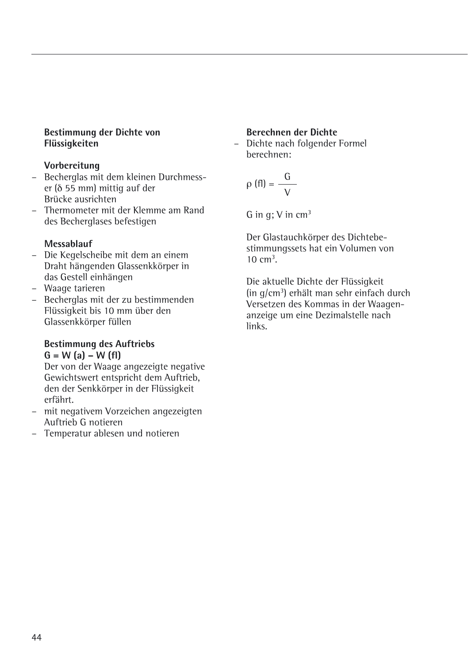### **Bestimmung der Dichte von Flüssigkeiten**

## **Vorbereitung**

- Becherglas mit dem kleinen Durchmesser (δ 55 mm) mittig auf der Brücke ausrichten
- Thermometer mit der Klemme am Rand des Becherglases befestigen

## **Messablauf**

- Die Kegelscheibe mit dem an einem Draht hängenden Glassenkkörper in das Gestell einhängen
- Waage tarieren
- Becherglas mit der zu bestimmenden Flüssigkeit bis 10 mm über den Glassenkkörper füllen

#### **Bestimmung des Auftriebs G = W (a) – W (fl)**

Der von der Waage angezeigte negative Gewichtswert entspricht dem Auftrieb, den der Senkkörper in der Flüssigkeit erfährt.

- mit negativem Vorzeichen angezeigten Auftrieb G notieren
- Temperatur ablesen und notieren

## **Berechnen der Dichte**

– Dichte nach folgender Formel berechnen:

$$
\rho(fI) = \frac{G}{V}
$$

G in  $q$ ; V in cm<sup>3</sup>

Der Glastauchkörper des Dichtebestimmungssets hat ein Volumen von  $10 \text{ cm}^3$ .

Die aktuelle Dichte der Flüssigkeit (in g/cm3 ) erhält man sehr einfach durch Versetzen des Kommas in der Waagenanzeige um eine Dezimalstelle nach links.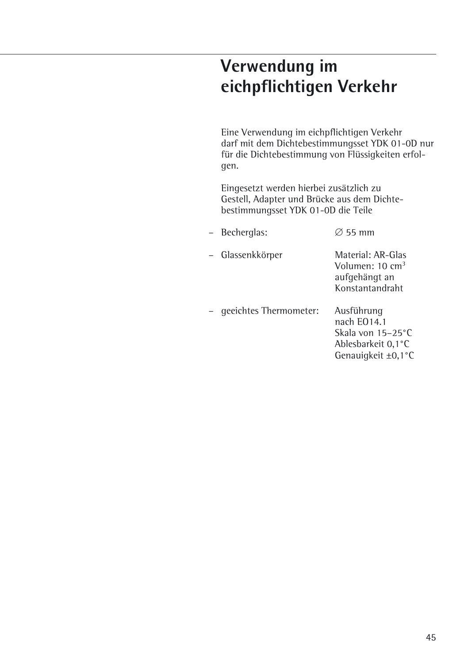## **Verwendung im eichpflichtigen Verkehr**

Eine Verwendung im eichpflichtigen Verkehr darf mit dem Dichtebestimmungsset YDK 01-0D nur für die Dichtebestimmung von Flüssigkeiten erfolgen.

Eingesetzt werden hierbei zusätzlich zu Gestell, Adapter und Brücke aus dem Dichtebestimmungsset YDK 01-0D die Teile

| - Becherglas: | $\varnothing$ 55 mm |  |
|---------------|---------------------|--|
|               |                     |  |

– Glassenkkörper Material: AR-Glas

Volumen: 10 cm3 aufgehängt an Konstantandraht

– geeichtes Thermometer: Ausführung nach EO14.1 Skala von 15–25°C Ablesbarkeit 0,1°C Genauigkeit ±0,1°C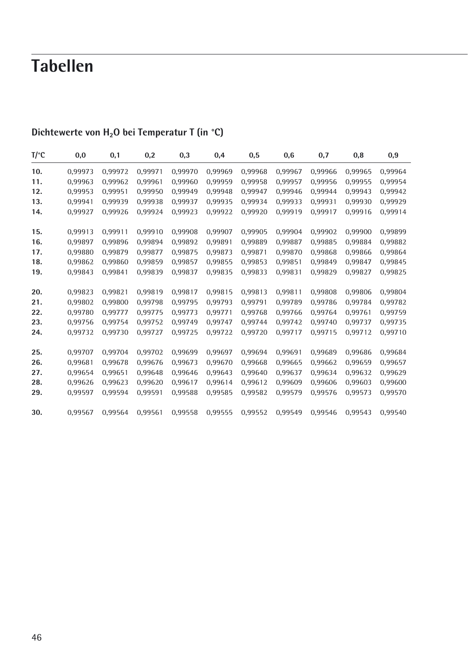# **Tabellen**

| T/°C | 0,0     | 0,1     | 0,2     | 0,3     | 0,4     | 0,5     | 0,6     | 0,7     | 0,8     | 0,9     |
|------|---------|---------|---------|---------|---------|---------|---------|---------|---------|---------|
| 10.  | 0,99973 | 0,99972 | 0,99971 | 0,99970 | 0,99969 | 0,99968 | 0,99967 | 0,99966 | 0,99965 | 0,99964 |
| 11.  | 0,99963 | 0,99962 | 0,99961 | 0,99960 | 0,99959 | 0,99958 | 0,99957 | 0,99956 | 0,99955 | 0,99954 |
| 12.  | 0.99953 | 0.99951 | 0.99950 | 0.99949 | 0.99948 | 0.99947 | 0.99946 | 0.99944 | 0.99943 | 0.99942 |
| 13.  | 0,99941 | 0.99939 | 0,99938 | 0.99937 | 0,99935 | 0.99934 | 0,99933 | 0.99931 | 0.99930 | 0,99929 |
| 14.  | 0,99927 | 0,99926 | 0,99924 | 0.99923 | 0,99922 | 0,99920 | 0,99919 | 0.99917 | 0.99916 | 0,99914 |
| 15.  | 0,99913 | 0,99911 | 0,99910 | 0,99908 | 0,99907 | 0,99905 | 0,99904 | 0,99902 | 0,99900 | 0,99899 |
| 16.  | 0.99897 | 0.99896 | 0.99894 | 0.99892 | 0.99891 | 0.99889 | 0.99887 | 0.99885 | 0.99884 | 0,99882 |
| 17.  | 0,99880 | 0.99879 | 0,99877 | 0.99875 | 0,99873 | 0.99871 | 0.99870 | 0.99868 | 0.99866 | 0,99864 |
| 18.  | 0,99862 | 0.99860 | 0,99859 | 0.99857 | 0,99855 | 0.99853 | 0,99851 | 0.99849 | 0.99847 | 0,99845 |
| 19.  | 0,99843 | 0.99841 | 0,99839 | 0.99837 | 0,99835 | 0,99833 | 0,99831 | 0,99829 | 0.99827 | 0,99825 |
| 20.  | 0,99823 | 0.99821 | 0,99819 | 0.99817 | 0,99815 | 0.99813 | 0,99811 | 0,99808 | 0.99806 | 0,99804 |
| 21.  | 0,99802 | 0.99800 | 0,99798 | 0.99795 | 0,99793 | 0.99791 | 0,99789 | 0.99786 | 0.99784 | 0,99782 |
| 22.  | 0,99780 | 0.99777 | 0,99775 | 0.99773 | 0,99771 | 0.99768 | 0,99766 | 0.99764 | 0.99761 | 0,99759 |
| 23.  | 0,99756 | 0,99754 | 0,99752 | 0,99749 | 0,99747 | 0,99744 | 0,99742 | 0,99740 | 0,99737 | 0,99735 |
| 24.  | 0,99732 | 0.99730 | 0.99727 | 0.99725 | 0,99722 | 0.99720 | 0.99717 | 0.99715 | 0.99712 | 0,99710 |
| 25.  | 0,99707 | 0.99704 | 0,99702 | 0.99699 | 0,99697 | 0.99694 | 0,99691 | 0,99689 | 0,99686 | 0,99684 |
| 26.  | 0,99681 | 0.99678 | 0,99676 | 0.99673 | 0,99670 | 0.99668 | 0,99665 | 0,99662 | 0.99659 | 0,99657 |
| 27.  | 0,99654 | 0,99651 | 0,99648 | 0,99646 | 0,99643 | 0,99640 | 0,99637 | 0,99634 | 0,99632 | 0,99629 |
| 28.  | 0.99626 | 0.99623 | 0.99620 | 0.99617 | 0,99614 | 0.99612 | 0.99609 | 0.99606 | 0.99603 | 0,99600 |
| 29.  | 0,99597 | 0.99594 | 0,99591 | 0.99588 | 0,99585 | 0,99582 | 0,99579 | 0.99576 | 0.99573 | 0,99570 |
| 30.  | 0,99567 | 0.99564 | 0,99561 | 0,99558 | 0,99555 | 0,99552 | 0,99549 | 0.99546 | 0.99543 | 0.99540 |

## Dichtewerte von H<sub>2</sub>O bei Temperatur T (in °C)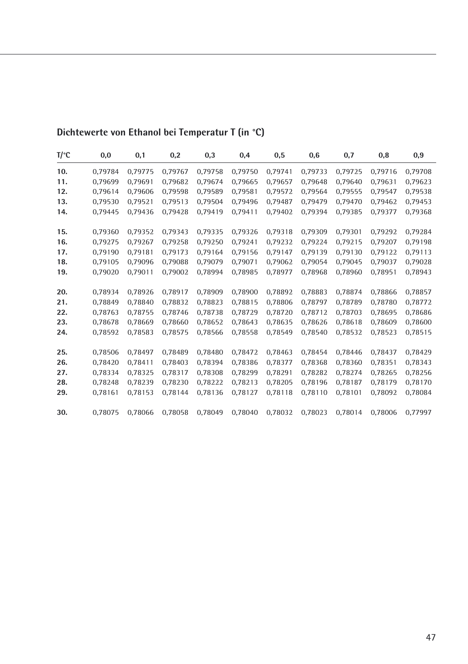| $T$ /°C | 0,0     | 0,1     | 0,2     | 0,3     | 0,4     | 0,5     | 0,6     | 0,7     | 0,8     | 0,9     |
|---------|---------|---------|---------|---------|---------|---------|---------|---------|---------|---------|
| 10.     | 0,79784 | 0.79775 | 0,79767 | 0.79758 | 0,79750 | 0.79741 | 0.79733 | 0,79725 | 0.79716 | 0,79708 |
| 11.     | 0,79699 | 0.79691 | 0,79682 | 0,79674 | 0,79665 | 0,79657 | 0,79648 | 0,79640 | 0.79631 | 0,79623 |
| 12.     | 0,79614 | 0.79606 | 0,79598 | 0,79589 | 0,79581 | 0,79572 | 0,79564 | 0,79555 | 0.79547 | 0,79538 |
| 13.     | 0,79530 | 0.79521 | 0,79513 | 0.79504 | 0.79496 | 0.79487 | 0.79479 | 0.79470 | 0.79462 | 0,79453 |
| 14.     | 0,79445 | 0.79436 | 0,79428 | 0.79419 | 0,79411 | 0,79402 | 0.79394 | 0,79385 | 0.79377 | 0,79368 |
| 15.     | 0,79360 | 0.79352 | 0,79343 | 0.79335 | 0,79326 | 0.79318 | 0.79309 | 0,79301 | 0.79292 | 0,79284 |
| 16.     | 0.79275 | 0.79267 | 0.79258 | 0.79250 | 0.79241 | 0.79232 | 0.79224 | 0.79215 | 0.79207 | 0,79198 |
| 17.     | 0,79190 | 0,79181 | 0,79173 | 0,79164 | 0,79156 | 0,79147 | 0,79139 | 0,79130 | 0.79122 | 0,79113 |
| 18.     | 0,79105 | 0,79096 | 0,79088 | 0,79079 | 0,79071 | 0,79062 | 0,79054 | 0,79045 | 0.79037 | 0,79028 |
| 19.     | 0,79020 | 0.79011 | 0,79002 | 0.78994 | 0,78985 | 0,78977 | 0,78968 | 0,78960 | 0,78951 | 0,78943 |
| 20.     | 0,78934 | 0.78926 | 0,78917 | 0,78909 | 0,78900 | 0,78892 | 0,78883 | 0,78874 | 0.78866 | 0,78857 |
| 21.     | 0.78849 | 0.78840 | 0.78832 | 0.78823 | 0.78815 | 0.78806 | 0.78797 | 0.78789 | 0.78780 | 0,78772 |
| 22.     | 0.78763 | 0.78755 | 0.78746 | 0.78738 | 0.78729 | 0.78720 | 0.78712 | 0.78703 | 0.78695 | 0,78686 |
| 23.     | 0,78678 | 0,78669 | 0,78660 | 0,78652 | 0,78643 | 0,78635 | 0,78626 | 0,78618 | 0,78609 | 0,78600 |
| 24.     | 0,78592 | 0,78583 | 0,78575 | 0,78566 | 0,78558 | 0,78549 | 0,78540 | 0,78532 | 0,78523 | 0,78515 |
| 25.     | 0,78506 | 0.78497 | 0,78489 | 0.78480 | 0,78472 | 0.78463 | 0,78454 | 0,78446 | 0.78437 | 0,78429 |
| 26.     | 0,78420 | 0.78411 | 0,78403 | 0.78394 | 0,78386 | 0,78377 | 0,78368 | 0,78360 | 0,78351 | 0,78343 |
| 27.     | 0,78334 | 0.78325 | 0,78317 | 0.78308 | 0,78299 | 0.78291 | 0.78282 | 0.78274 | 0.78265 | 0,78256 |
| 28.     | 0.78248 | 0.78239 | 0.78230 | 0.78222 | 0,78213 | 0.78205 | 0.78196 | 0.78187 | 0.78179 | 0,78170 |
| 29.     | 0,78161 | 0,78153 | 0,78144 | 0,78136 | 0,78127 | 0,78118 | 0,78110 | 0,78101 | 0,78092 | 0,78084 |
| 30.     | 0.78075 | 0.78066 | 0,78058 | 0,78049 | 0,78040 | 0,78032 | 0,78023 | 0.78014 | 0.78006 | 0,77997 |

## **Dichtewerte von Ethanol bei Temperatur T (in °C)**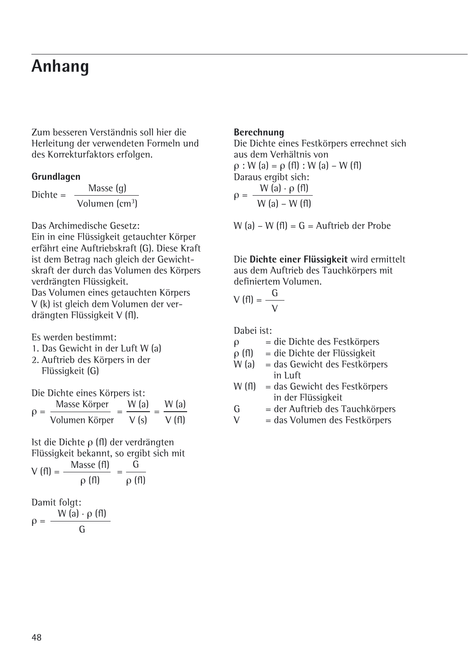## **Anhang**

Zum besseren Verständnis soll hier die Herleitung der verwendeten Formeln und des Korrekturfaktors erfolgen.

### **Grundlagen**

Dichte =  $\frac{\text{Masse (g)}}{\text{Masse (h)}$ 

Volumen (cm<sup>3</sup>)

Das Archimedische Gesetz:

Ein in eine Flüssigkeit getauchter Körper erfährt eine Auftriebskraft (G). Diese Kraft ist dem Betrag nach gleich der Gewichtskraft der durch das Volumen des Körpers verdrängten Flüssigkeit. Das Volumen eines getauchten Körpers V (k) ist gleich dem Volumen der ver-

drängten Flüssigkeit V (fl).

Es werden bestimmt:

- 1. Das Gewicht in der Luft W (a)
- 2. Auftrieb des Körpers in der Flüssigkeit (G)

Die Dichte eines Körpers ist:

$$
\rho = \frac{\text{Masse Körper}}{\text{Volumen Körper}} = \frac{W (a)}{V (s)} = \frac{W (a)}{V (f)}
$$

Ist die Dichte ρ (fl) der verdrängten Flüssigkeit bekannt, so ergibt sich mit  $M$ asse (fl) G

$$
V(fI) = \frac{1}{\rho(fI)} = \frac{1}{\rho(fI)}
$$

Damit folgt:  $\rho = \frac{W (a) \cdot \rho (f)}{G}$ 

## **Berechnung**

Die Dichte eines Festkörpers errechnet sich aus dem Verhältnis von  $\rho$  : W (a) =  $\rho$  (fl) : W (a) – W (fl) Daraus ergibt sich:  $\rho = \frac{W (a) \cdot \rho (f)}{W (a) - W (f)}$ 

W (a) – W (fl) =  $G =$  Auftrieb der Probe

Die **Dichte einer Flüssigkeit** wird ermittelt aus dem Auftrieb des Tauchkörpers mit definiertem Volumen.

$$
V(fI) = \frac{G}{V}
$$

Dabei ist:<br> $\rho =$ 

- $=$  die Dichte des Festkörpers
- ρ (fl) = die Dichte der Flüssigkeit
- W (a) = das Gewicht des Festkörpers in Luft
- W (fl) = das Gewicht des Festkörpers in der Flüssigkeit
- $G = der Auffrieb des Tauchkörpers  
\n $V = des Volumen des Eestkörpers$$
- $=$  das Volumen des Festkörpers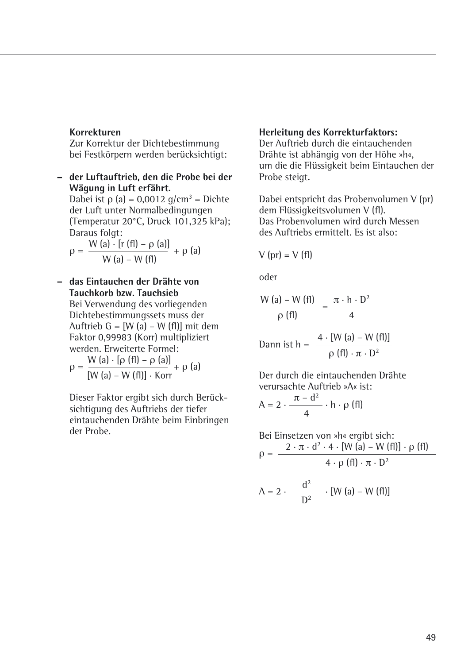### **Korrekturen**

Zur Korrektur der Dichtebestimmung bei Festkörpern werden berücksichtigt:

**– der Luftauftrieb, den die Probe bei der Wägung in Luft erfährt.** Dabei ist ρ (a) = 0,0012 g/cm<sup>3</sup> = Dichte

der Luft unter Normalbedingungen (Temperatur 20°C, Druck 101,325 kPa); Daraus folgt:

$$
\rho = \frac{W (a) \cdot [r (fl) - \rho (a)]}{W (a) - W (fl)} + \rho (a)
$$

## **– das Eintauchen der Drähte von Tauchkorb bzw. Tauchsieb**

Bei Verwendung des vorliegenden Dichtebestimmungssets muss der Auftrieb G = [W (a) – W (fl)] mit dem Faktor 0,99983 (Korr) multipliziert werden. Erweiterte Formel:

$$
\rho = \frac{W (a) \cdot [\rho (f I) - \rho (a)]}{[W (a) - W (f I)] \cdot Korr} + \rho (a)
$$

Dieser Faktor ergibt sich durch Berücksichtigung des Auftriebs der tiefer eintauchenden Drähte beim Einbringen der Probe.

### **Herleitung des Korrekturfaktors:**

Der Auftrieb durch die eintauchenden Drähte ist abhängig von der Höhe »h«, um die die Flüssigkeit beim Eintauchen der Probe steigt.

Dabei entspricht das Probenvolumen V (pr) dem Flüssigkeitsvolumen V (fl). Das Probenvolumen wird durch Messen des Auftriebs ermittelt. Es ist also:

$$
V (pr) = V (fl)
$$

oder

$$
\frac{W(a) - W(fI)}{\rho(fI)} = \frac{\pi \cdot h \cdot D^2}{4}
$$

$$
\text{Dann ist } h = \frac{4 \cdot \text{[W (a) - W (f1)]}}{\rho \text{ (f1) \cdot } \pi \cdot D^2}
$$

Der durch die eintauchenden Drähte verursachte Auftrieb »A« ist:

$$
A = 2 \cdot \frac{\pi - d^2}{4} \cdot h \cdot \rho \text{ (fl)}
$$

Bei Einsetzen von »h« ergibt sich:  $\rho = \frac{2 \cdot \pi \cdot d^2 \cdot 4 \cdot [W (a) - W (f I)] \cdot \rho (f I)}{4 \cdot \rho (f I) \cdot \pi \cdot D^2}$  $A = 2 \cdot \frac{d^2}{D^2} \cdot [W (a) - W (f I)]$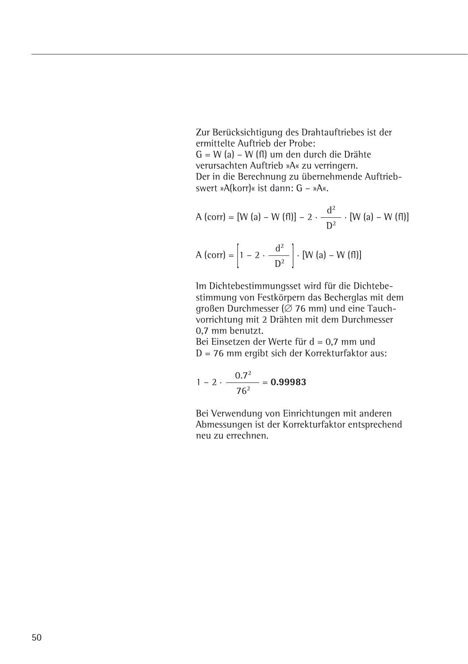Zur Berücksichtigung des Drahtauftriebes ist der ermittelte Auftrieb der Probe: G = W (a) – W (fl) um den durch die Drähte verursachten Auftrieb »A« zu verringern. Der in die Berechnung zu übernehmende Auftriebswert »A(korr)« ist dann: G – »A«.

A (corr) = [W (a) – W (f1)] – 2 · 
$$
\frac{d^2}{D^2}
$$
 · [W (a) – W (f1)]  
A (corr) =  $\left[1 - 2 \cdot \frac{d^2}{D^2}\right]$  · [W (a) – W (f1)]

Im Dichtebestimmungsset wird für die Dichtebestimmung von Festkörpern das Becherglas mit dem großen Durchmesser ( $\varnothing$  76 mm) und eine Tauchvorrichtung mit 2 Drähten mit dem Durchmesser 0,7 mm benutzt.

Bei Einsetzen der Werte für d = 0,7 mm und D = 76 mm ergibt sich der Korrekturfaktor aus:

$$
1 - 2 \cdot \frac{0.7^2}{76^2} = 0.99983
$$

Bei Verwendung von Einrichtungen mit anderen Abmessungen ist der Korrekturfaktor entsprechend neu zu errechnen.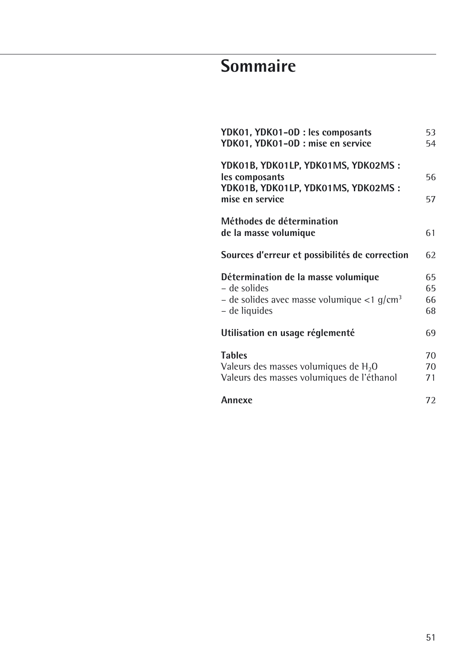# **Sommaire**

| YDK01, YDK01-0D : les composants<br>YDK01, YDK01-0D : mise en service                                                                | 53<br>54             |
|--------------------------------------------------------------------------------------------------------------------------------------|----------------------|
| YDK01B, YDK01LP, YDK01MS, YDK02MS:<br>les composants<br>YDK01B, YDK01LP, YDK01MS, YDK02MS:<br>mise en service                        | 56<br>57             |
| Méthodes de détermination<br>de la masse volumique                                                                                   | 61                   |
| Sources d'erreur et possibilités de correction                                                                                       | 62                   |
| Détermination de la masse volumique<br>– de solides<br>- de solides avec masse volumique $\langle 1 \text{ q/cm}^3$<br>– de liquides | 65<br>65<br>66<br>68 |
| Utilisation en usage réglementé                                                                                                      | 69                   |
| <b>Tables</b><br>Valeurs des masses volumiques de H <sub>2</sub> O<br>Valeurs des masses volumiques de l'éthanol                     | 70<br>70<br>71       |
| Annexe                                                                                                                               | 72                   |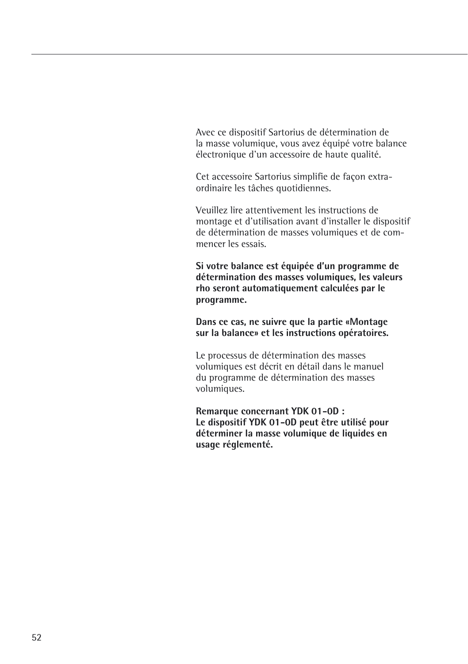Avec ce dispositif Sartorius de détermination de la masse volumique, vous avez équipé votre balance électronique d'un accessoire de haute qualité.

Cet accessoire Sartorius simplifie de façon extraordinaire les tâches quotidiennes.

Veuillez lire attentivement les instructions de montage et d'utilisation avant d'installer le dispositif de détermination de masses volumiques et de commencer les essais.

**Si votre balance est équipée d'un programme de détermination des masses volumiques, les valeurs rho seront automatiquement calculées par le programme.**

**Dans ce cas, ne suivre que la partie «Montage sur la balance» et les instructions opératoires.**

Le processus de détermination des masses volumiques est décrit en détail dans le manuel du programme de détermination des masses volumiques.

**Remarque concernant YDK 01-0D : Le dispositif YDK 01-0D peut être utilisé pour déterminer la masse volumique de liquides en usage réglementé.**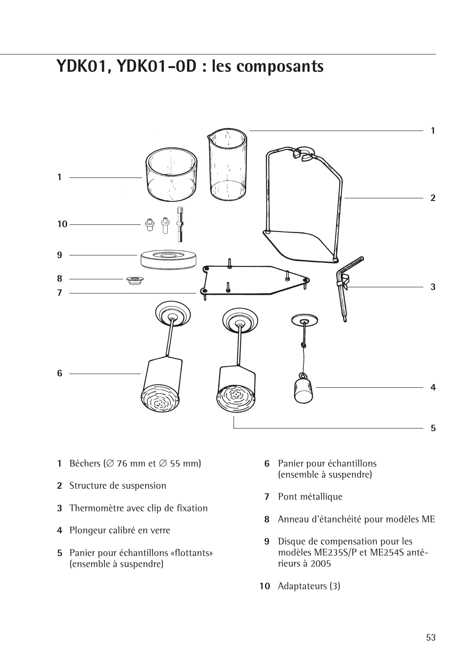## **YDK01, YDK01-0D : les composants**



- **1** Béchers ( $\varnothing$  76 mm et  $\varnothing$  55 mm)
- Structure de suspension
- Thermomètre avec clip de fixation
- Plongeur calibré en verre
- Panier pour échantillons «flottants» (ensemble à suspendre)
- Panier pour échantillons (ensemble à suspendre)
- Pont métallique
- Anneau d'étanchéité pour modèles ME
- Disque de compensation pour les modèles ME235S/P et ME254S antérieurs à 2005
- Adaptateurs (3)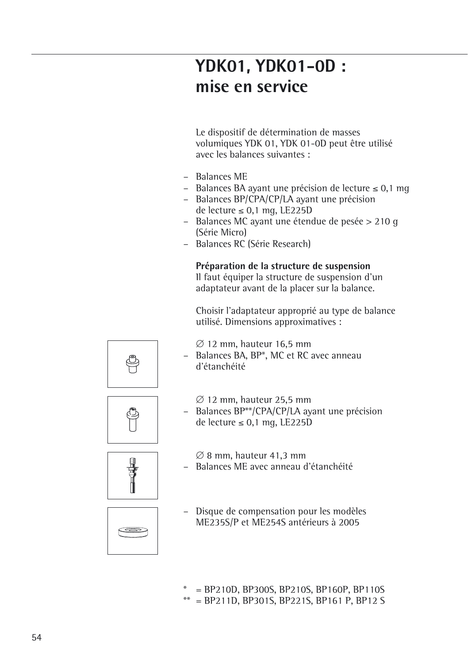# **YDK01, YDK01-0D : mise en service**

Le dispositif de détermination de masses volumiques YDK 01, YDK 01-0D peut être utilisé avec les balances suivantes :

- Balances ME
- Balances BA ayant une précision de lecture  $\leq 0.1$  mq
- Balances BP/CPA/CP/LA ayant une précision de lecture  $\leq 0.1$  mg, LE225D
- Balances MC ayant une étendue de pesée > 210 g (Série Micro)
- Balances RC (Série Research)

## **Préparation de la structure de suspension**

Il faut équiper la structure de suspension d'un adaptateur avant de la placer sur la balance.

Choisir l'adaptateur approprié au type de balance utilisé. Dimensions approximatives :

 $\varnothing$  12 mm, hauteur 16,5 mm

- Balances BA, BP\*, MC et RC avec anneau d'étanchéité
	- $\varnothing$  12 mm, hauteur 25,5 mm
- Balances BP\*\*/CPA/CP/LA ayant une précision de lecture  $\leq 0.1$  mg, LE225D



 $\overline{c}$ 

- $\varnothing$  8 mm, hauteur 41,3 mm
- Balances ME avec anneau d'étanchéité
- Disque de compensation pour les modèles ME235S/P et ME254S antérieurs à 2005
- $=$  BP210D, BP300S, BP210S, BP160P, BP110S
- \*\* = BP211D, BP301S, BP221S, BP161 P, BP12 S



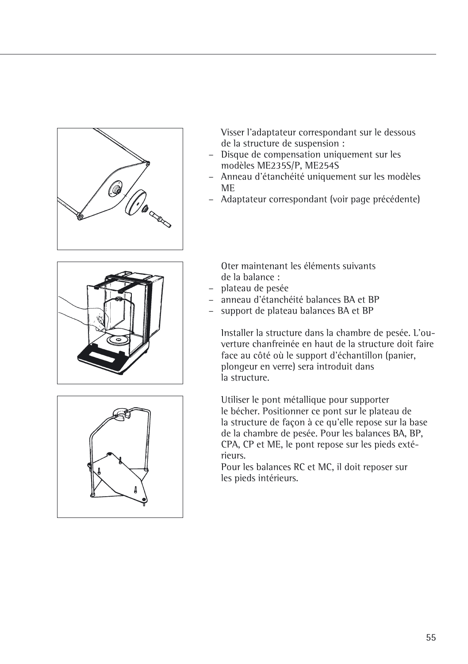

Visser l'adaptateur correspondant sur le dessous de la structure de suspension :

- Disque de compensation uniquement sur les modèles ME235S/P, ME254S
- Anneau d'étanchéité uniquement sur les modèles ME
- Adaptateur correspondant (voir page précédente)





Oter maintenant les éléments suivants de la balance :

- plateau de pesée
- anneau d'étanchéité balances BA et BP
- support de plateau balances BA et BP

Installer la structure dans la chambre de pesée. L'ouverture chanfreinée en haut de la structure doit faire face au côté où le support d'échantillon (panier, plongeur en verre) sera introduit dans .<br>la structure

Utiliser le pont métallique pour supporter le bécher. Positionner ce pont sur le plateau de la structure de façon à ce qu'elle repose sur la base de la chambre de pesée. Pour les balances BA, BP, CPA, CP et ME, le pont repose sur les pieds extérieurs.

Pour les balances RC et MC, il doit reposer sur les pieds intérieurs.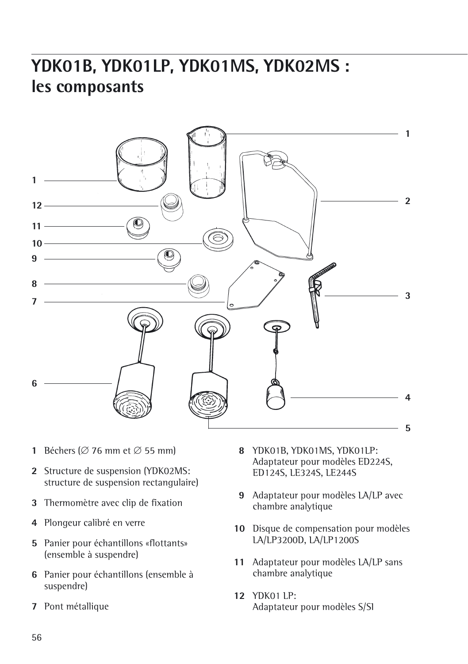# **YDK01B, YDK01LP, YDK01MS, YDK02MS : les composants**



- **1** Béchers ( $\varnothing$  76 mm et  $\varnothing$  55 mm)
- Structure de suspension (YDK02MS: structure de suspension rectangulaire)
- Thermomètre avec clip de fixation
- Plongeur calibré en verre
- Panier pour échantillons «flottants» (ensemble à suspendre)
- Panier pour échantillons (ensemble à suspendre)
- Pont métallique
- YDK01B, YDK01MS, YDK01LP: Adaptateur pour modèles ED224S, ED124S, LE324S, LE244S
- Adaptateur pour modèles LA/LP avec chambre analytique
- Disque de compensation pour modèles LA/LP3200D, LA/LP1200S
- Adaptateur pour modèles LA/LP sans chambre analytique
- YDK01 LP: Adaptateur pour modèles S/SI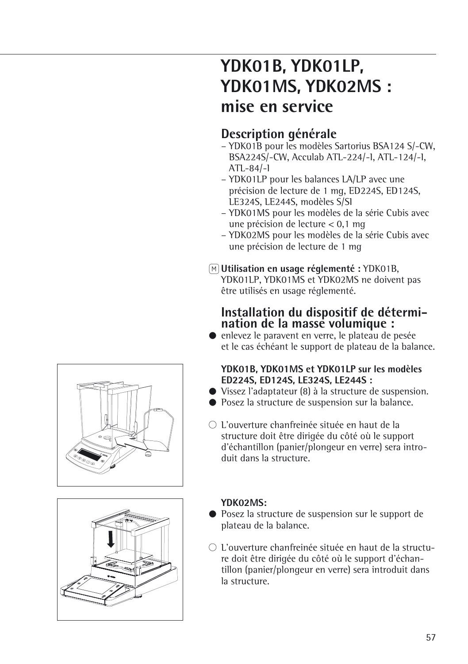# **YDK01B, YDK01LP, YDK01MS, YDK02MS : mise en service**

## **Description générale**

- YDK01B pour les modèles Sartorius BSA124 S/-CW, BSA224S/-CW, Acculab ATL-224/-I, ATL-124/-I, ATL-84/-I
- YDK01LP pour les balances LA/LP avec une précision de lecture de 1 mg, ED224S, ED124S, LE324S, LE244S, modèles S/SI
- YDK01MS pour les modèles de la série Cubis avec une précision de lecture < 0,1 mg
- YDK02MS pour les modèles de la série Cubis avec une précision de lecture de 1 mg

## Q**Utilisation en usage réglementé :** YDK01B,

YDK01LP, YDK01MS et YDK02MS ne doivent pas être utilisés en usage réglementé.

## **Installation du dispositif de détermination de la masse volumique :**

§ enlevez le paravent en verre, le plateau de pesée et le cas échéant le support de plateau de la balance.

## **YDK01B, YDK01MS et YDK01LP sur les modèles ED224S, ED124S, LE324S, LE244S :**

- § Vissez l'adaptateur (8) à la structure de suspension.
- Posez la structure de suspension sur la balance.
- $\bigcirc$  L'ouverture chanfreinée située en haut de la structure doit être dirigée du côté où le support d'échantillon (panier/plongeur en verre) sera introduit dans la structure.



## **YDK02MS:**

- Posez la structure de suspension sur le support de plateau de la balance.
- $\bigcirc$  L'ouverture chanfreinée située en haut de la structure doit être dirigée du côté où le support d'échantillon (panier/plongeur en verre) sera introduit dans la structure.

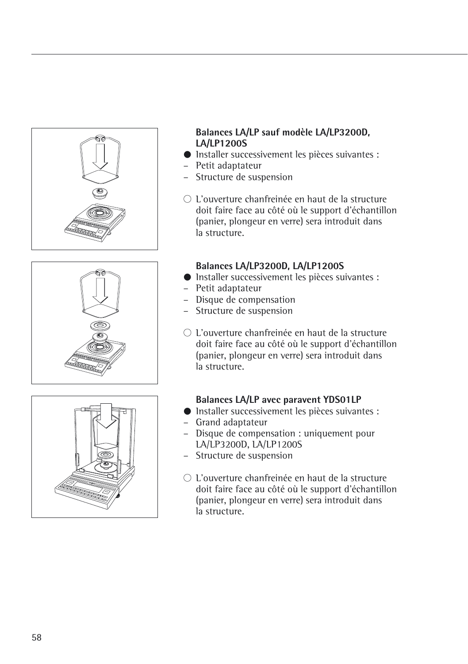





## **Balances LA/LP sauf modèle LA/LP3200D, LA/LP1200S**

- § Installer successivement les pièces suivantes :
- Petit adaptateur
- Structure de suspension
- $\bigcirc$  L'ouverture chanfreinée en haut de la structure doit faire face au côté où le support d'échantillon (panier, plongeur en verre) sera introduit dans la structure.

## **Balances LA/LP3200D, LA/LP1200S**

- § Installer successivement les pièces suivantes : – Petit adaptateur
- Disque de compensation
- Structure de suspension
- $\bigcirc$  L'ouverture chanfreinée en haut de la structure doit faire face au côté où le support d'échantillon (panier, plongeur en verre) sera introduit dans la structure.

## **Balances LA/LP avec paravent YDS01LP**

- § Installer successivement les pièces suivantes :
- Grand adaptateur
- Disque de compensation : uniquement pour LA/LP3200D, LA/LP1200S
- Structure de suspension
- $\bigcirc$  L'ouverture chanfreinée en haut de la structure doit faire face au côté où le support d'échantillon (panier, plongeur en verre) sera introduit dans la structure.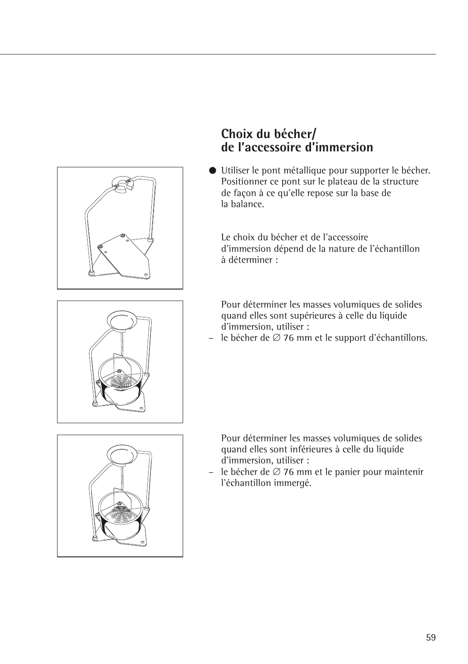

## **Choix du bécher/ de l'accessoire d'immersion**

§ Utiliser le pont métallique pour supporter le bécher. Positionner ce pont sur le plateau de la structure de façon à ce qu'elle repose sur la base de la balance.

Le choix du bécher et de l'accessoire d'immersion dépend de la nature de l'échantillon à déterminer :

Pour déterminer les masses volumiques de solides quand elles sont supérieures à celle du liquide d'immersion, utiliser :

– le bécher de  $\varnothing$  76 mm et le support d'échantillons.





Pour déterminer les masses volumiques de solides quand elles sont inférieures à celle du liquide d'immersion, utiliser :

– le bécher de  $\varnothing$  76 mm et le panier pour maintenir l'échantillon immergé.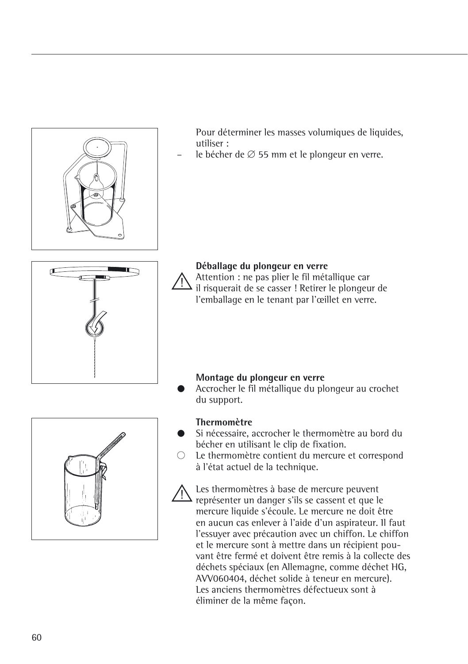

- à l'état actuel de la technique.
- Les thermomètres à base de mercure peuvent représenter un danger s'ils se cassent et que le mercure liquide s'écoule. Le mercure ne doit être en aucun cas enlever à l'aide d'un aspirateur. Il faut l'essuyer avec précaution avec un chiffon. Le chiffon et le mercure sont à mettre dans un récipient pouvant être fermé et doivent être remis à la collecte des déchets spéciaux (en Allemagne, comme déchet HG, AVV060404, déchet solide à teneur en mercure). Les anciens thermomètres défectueux sont à éliminer de la même façon.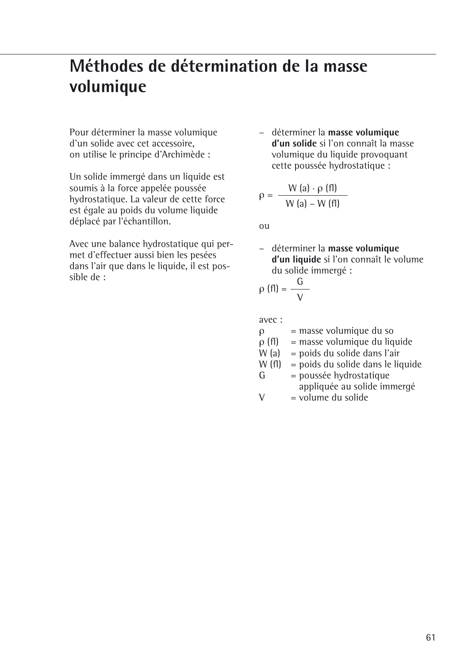# **Méthodes de détermination de la masse volumique**

Pour déterminer la masse volumique d'un solide avec cet accessoire, on utilise le principe d'Archimède :

Un solide immergé dans un liquide est soumis à la force appelée poussée hydrostatique. La valeur de cette force est égale au poids du volume liquide déplacé par l'échantillon.

Avec une balance hydrostatique qui permet d'effectuer aussi bien les pesées dans l'air que dans le liquide, il est possible de :

– déterminer la **masse volumique d'un solide** si l'on connaît la masse volumique du liquide provoquant cette poussée hydrostatique :

$$
\rho = \frac{W(a) \cdot \rho(fI)}{W(a) - W(fI)}
$$

ou

– déterminer la **masse volumique d'un liquide** si l'on connaît le volume du solide immergé :

$$
\rho\text{ (fl)}=\frac{G}{V}
$$

avec :

- $\rho$  = masse volumique du so<br> $\rho$  (fl) = masse volumique du liq
- $\rho$  (fl) = masse volumique du liquide<br>W (a) = poids du solide dans l'air
- $W$  (a) = poids du solide dans l'air<br> $W$  (fl) = poids du solide dans le lic
- W (fl) = poids du solide dans le liquide<br> $G = \text{poussee hvdrostatique}$
- = poussée hydrostatique appliquée au solide immergé
- $V = volume$  du solide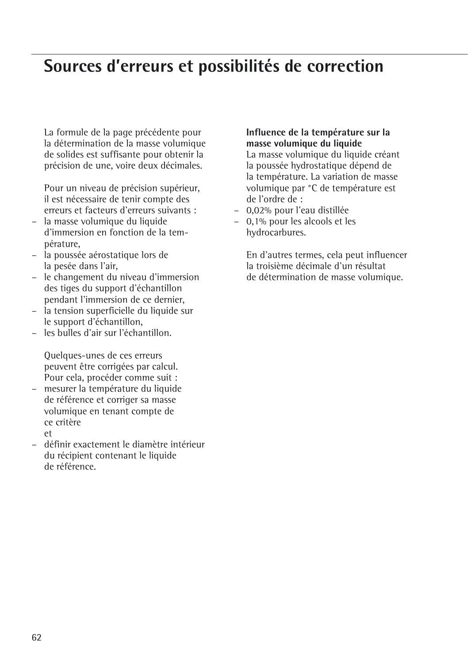## **Sources d'erreurs et possibilités de correction**

La formule de la page précédente pour la détermination de la masse volumique de solides est suffisante pour obtenir la précision de une, voire deux décimales.

Pour un niveau de précision supérieur, il est nécessaire de tenir compte des erreurs et facteurs d'erreurs suivants :

- la masse volumique du liquide d'immersion en fonction de la température,
- la poussée aérostatique lors de la pesée dans l'air,
- le changement du niveau d'immersion des tiges du support d'échantillon pendant l'immersion de ce dernier,
- la tension superficielle du liquide sur le support d'échantillon,
- les bulles d'air sur l'échantillon.

Quelques-unes de ces erreurs peuvent être corrigées par calcul. Pour cela, procéder comme suit :

- mesurer la température du liquide de référence et corriger sa masse volumique en tenant compte de ce critère et
- définir exactement le diamètre intérieur du récipient contenant le liquide de référence.

## **Influence de la température sur la masse volumique du liquide**

La masse volumique du liquide créant la poussée hydrostatique dépend de la température. La variation de masse volumique par °C de température est de l'ordre de :

- 0,02% pour l'eau distillée
- 0,1% pour les alcools et les hydrocarbures.

En d'autres termes, cela peut influencer la troisième décimale d'un résultat de détermination de masse volumique.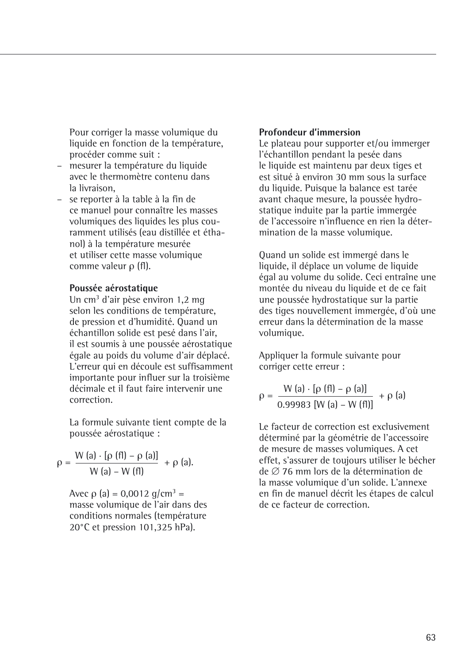Pour corriger la masse volumique du liquide en fonction de la température. procéder comme suit :

- mesurer la température du liquide avec le thermomètre contenu dans la livraison,
- se reporter à la table à la fin de ce manuel pour connaître les masses volumiques des liquides les plus couramment utilisés (eau distillée et éthanol) à la température mesurée et utiliser cette masse volumique comme valeur ρ (fl).

#### **Poussée aérostatique**

Un cm3 d'air pèse environ 1,2 mg selon les conditions de température, de pression et d'humidité. Quand un échantillon solide est pesé dans l'air, il est soumis à une poussée aérostatique égale au poids du volume d'air déplacé. L'erreur qui en découle est suffisamment importante pour influer sur la troisième décimale et il faut faire intervenir une correction.

La formule suivante tient compte de la poussée aérostatique :

$$
\rho = \frac{W(a) \cdot [\rho(fI) - \rho(a)]}{W(a) - W(fI)} + \rho(a).
$$

Avec  $\rho$  (a) = 0,0012 g/cm<sup>3</sup> = masse volumique de l'air dans des conditions normales (température 20°C et pression 101,325 hPa).

## **Profondeur d'immersion**

Le plateau pour supporter et/ou immerger l'échantillon pendant la pesée dans le liquide est maintenu par deux tiges et est situé à environ 30 mm sous la surface du liquide. Puisque la balance est tarée avant chaque mesure, la poussée hydrostatique induite par la partie immergée de l'accessoire n'influence en rien la détermination de la masse volumique.

Quand un solide est immergé dans le liquide, il déplace un volume de liquide égal au volume du solide. Ceci entraîne une montée du niveau du liquide et de ce fait une poussée hydrostatique sur la partie des tiges nouvellement immergée, d'où une erreur dans la détermination de la masse volumique.

Appliquer la formule suivante pour corriger cette erreur :

$$
\rho = \frac{W (a) \cdot [\rho (f I) - \rho (a)]}{0.99983 [W (a) - W (f I)]} + \rho (a)
$$

Le facteur de correction est exclusivement déterminé par la géométrie de l'accessoire de mesure de masses volumiques. A cet effet, s'assurer de toujours utiliser le bécher de  $\varnothing$  76 mm lors de la détermination de la masse volumique d'un solide. L'annexe en fin de manuel décrit les étapes de calcul de ce facteur de correction.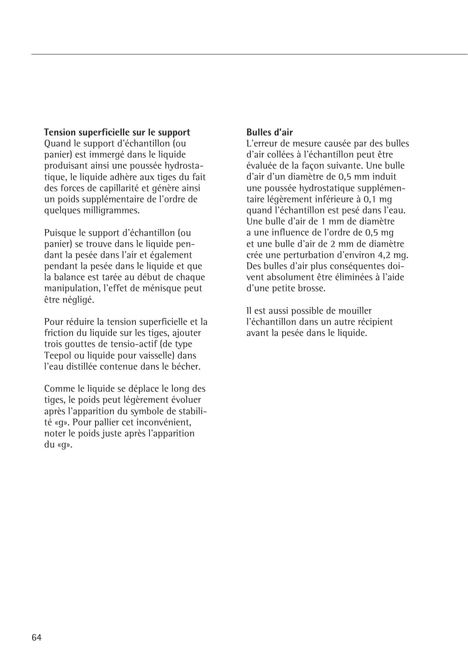### **Tension superficielle sur le support**

Quand le support d'échantillon (ou panier) est immergé dans le liquide produisant ainsi une poussée hydrostatique, le liquide adhère aux tiges du fait des forces de capillarité et génère ainsi un poids supplémentaire de l'ordre de quelques milligrammes.

Puisque le support d'échantillon (ou panier) se trouve dans le liquide pendant la pesée dans l'air et également pendant la pesée dans le liquide et que la balance est tarée au début de chaque manipulation, l'effet de ménisque peut être négligé.

Pour réduire la tension superficielle et la friction du liquide sur les tiges, ajouter trois gouttes de tensio-actif (de type Teepol ou liquide pour vaisselle) dans l'eau distillée contenue dans le bécher.

Comme le liquide se déplace le long des tiges, le poids peut légèrement évoluer après l'apparition du symbole de stabilité «g». Pour pallier cet inconvénient, noter le poids juste après l'apparition du «g».

## **Bulles d'air**

L'erreur de mesure causée par des bulles d'air collées à l'échantillon peut être évaluée de la façon suivante. Une bulle d'air d'un diamètre de 0,5 mm induit une poussée hydrostatique supplémentaire légèrement inférieure à 0,1 mg quand l'échantillon est pesé dans l'eau. Une bulle d'air de 1 mm de diamètre a une influence de l'ordre de 0,5 mg et une bulle d'air de 2 mm de diamètre crée une perturbation d'environ 4,2 mg. Des bulles d'air plus conséquentes doivent absolument être éliminées à l'aide d'une petite brosse.

Il est aussi possible de mouiller l'échantillon dans un autre récipient avant la pesée dans le liquide.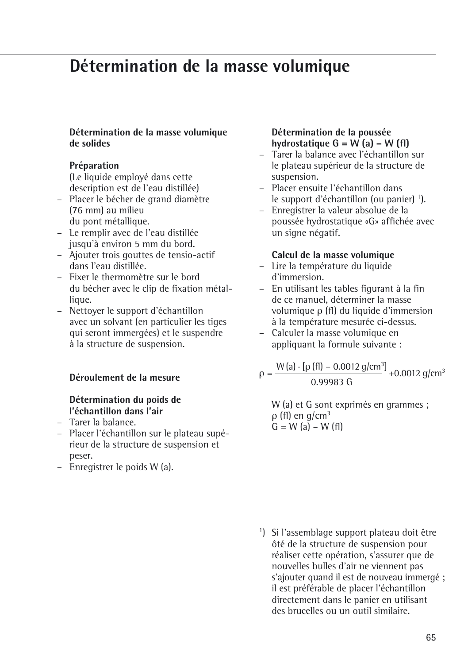## **Détermination de la masse volumique**

#### **Détermination de la masse volumique de solides**

### **Préparation**

(Le liquide employé dans cette description est de l'eau distillée)

- Placer le bécher de grand diamètre (76 mm) au milieu du pont métallique.
- Le remplir avec de l'eau distillée jusqu'à environ 5 mm du bord.
- Ajouter trois gouttes de tensio-actif dans l'eau distillée.
- Fixer le thermomètre sur le bord du bécher avec le clip de fixation métallique.
- Nettoyer le support d'échantillon avec un solvant (en particulier les tiges qui seront immergées) et le suspendre à la structure de suspension.

### **Déroulement de la mesure**

## **Détermination du poids de l'échantillon dans l'air**

- Tarer la balance.
- Placer l'échantillon sur le plateau supérieur de la structure de suspension et peser.
- Enregistrer le poids W (a).

## **Détermination de la poussée hydrostatique G = W (a) – W (fl)**

- Tarer la balance avec l'échantillon sur le plateau supérieur de la structure de suspension.
- Placer ensuite l'échantillon dans le support d'échantillon (ou panier) <sup>1</sup>).
- Enregistrer la valeur absolue de la poussée hydrostatique «G» affichée avec un signe négatif.

### **Calcul de la masse volumique**

- Lire la température du liquide d'immersion.
- En utilisant les tables figurant à la fin de ce manuel, déterminer la masse volumique ρ (fl) du liquide d'immersion à la température mesurée ci-dessus.
- Calculer la masse volumique en appliquant la formule suivante :

 $\rho = \frac{W(a) \cdot [\rho(f\theta] - 0.0012 \text{ g/cm}^3]}{0.99983 \text{ G}} + 0.0012 \text{ g/cm}^3$ 

W (a) et G sont exprimés en grammes ;  $ρ$  (fl) en g/cm<sup>3</sup>  $G = W$  (a) – W (fl)

1 ) Si l'assemblage support plateau doit être ôté de la structure de suspension pour réaliser cette opération, s'assurer que de nouvelles bulles d'air ne viennent pas s'ajouter quand il est de nouveau immergé ; il est préférable de placer l'échantillon directement dans le panier en utilisant des brucelles ou un outil similaire.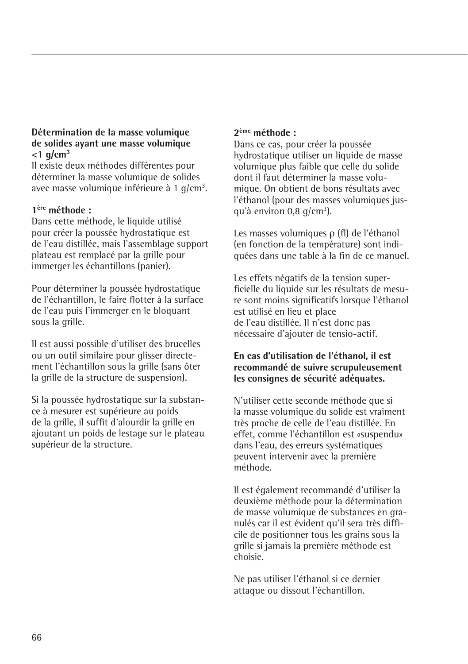## **Détermination de la masse volumique de solides ayant une masse volumique <1 g/cm3**

Il existe deux méthodes différentes pour déterminer la masse volumique de solides avec masse volumique inférieure à 1 g/cm<sup>3</sup>.

## **1ère méthode :**

Dans cette méthode, le liquide utilisé pour créer la poussée hydrostatique est de l'eau distillée, mais l'assemblage support plateau est remplacé par la grille pour immerger les échantillons (panier).

Pour déterminer la poussée hydrostatique de l'échantillon, le faire flotter à la surface de l'eau puis l'immerger en le bloquant sous la grille.

Il est aussi possible d'utiliser des brucelles ou un outil similaire pour glisser directement l'échantillon sous la grille (sans ôter la grille de la structure de suspension).

Si la poussée hydrostatique sur la substance à mesurer est supérieure au poids de la grille, il suffit d'alourdir la grille en ajoutant un poids de lestage sur le plateau supérieur de la structure.

## **2ème méthode :**

Dans ce cas, pour créer la poussée hydrostatique utiliser un liquide de masse volumique plus faible que celle du solide dont il faut déterminer la masse volumique. On obtient de bons résultats avec l'éthanol (pour des masses volumiques jusqu'à environ 0,8 g/cm<sup>3</sup>).

Les masses volumiques ρ (fl) de l'éthanol (en fonction de la température) sont indiquées dans une table à la fin de ce manuel.

Les effets négatifs de la tension superficielle du liquide sur les résultats de mesure sont moins significatifs lorsque l'éthanol est utilisé en lieu et place de l'eau distillée. Il n'est donc pas nécessaire d'ajouter de tensio-actif.

### **En cas d'utilisation de l'éthanol, il est recommandé de suivre scrupuleusement les consignes de sécurité adéquates.**

N'utiliser cette seconde méthode que si la masse volumique du solide est vraiment très proche de celle de l'eau distillée. En effet, comme l'échantillon est «suspendu» dans l'eau, des erreurs systématiques peuvent intervenir avec la première méthode.

Il est également recommandé d'utiliser la deuxième méthode pour la détermination de masse volumique de substances en granulés car il est évident qu'il sera très difficile de positionner tous les grains sous la grille si jamais la première méthode est choisie.

Ne pas utiliser l'éthanol si ce dernier attaque ou dissout l'échantillon.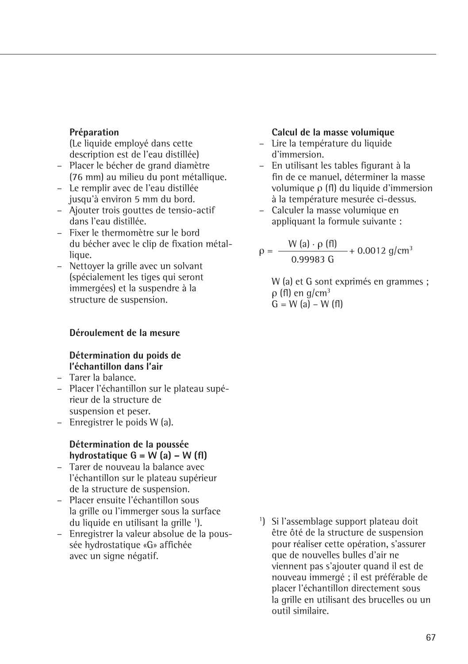#### **Préparation**

(Le liquide employé dans cette description est de l'eau distillée)

- Placer le bécher de grand diamètre (76 mm) au milieu du pont métallique.
- Le remplir avec de l'eau distillée jusqu'à environ 5 mm du bord.
- Ajouter trois gouttes de tensio-actif dans l'eau distillée.
- Fixer le thermomètre sur le bord du bécher avec le clip de fixation métallique.
- Nettoyer la grille avec un solvant (spécialement les tiges qui seront immergées) et la suspendre à la structure de suspension.

#### **Déroulement de la mesure**

#### **Détermination du poids de l'échantillon dans l'air**

- Tarer la balance.
- Placer l'échantillon sur le plateau supérieur de la structure de suspension et peser.
- Enregistrer le poids W (a).

#### **Détermination de la poussée hydrostatique G = W (a) – W (fl)**

- Tarer de nouveau la balance avec l'échantillon sur le plateau supérieur de la structure de suspension.
- Placer ensuite l'échantillon sous la grille ou l'immerger sous la surface du liquide en utilisant la grille <sup>1</sup>).
- Enregistrer la valeur absolue de la poussée hydrostatique «G» affichée avec un signe négatif.

### **Calcul de la masse volumique**

- Lire la température du liquide d'immersion.
- En utilisant les tables figurant à la fin de ce manuel, déterminer la masse volumique ρ (fl) du liquide d'immersion à la température mesurée ci-dessus.
- Calculer la masse volumique en appliquant la formule suivante :

$$
\rho = \frac{W (a) \cdot \rho (f1)}{0.99983 \text{ G}} + 0.0012 \text{ g/cm}^3
$$

W (a) et G sont exprimés en grammes ; ρ (fl) en g/cm3  $G = W (a) - W (f)$ 

1 ) Si l'assemblage support plateau doit être ôté de la structure de suspension pour réaliser cette opération, s'assurer que de nouvelles bulles d'air ne viennent pas s'ajouter quand il est de nouveau immergé ; il est préférable de placer l'échantillon directement sous la grille en utilisant des brucelles ou un outil similaire.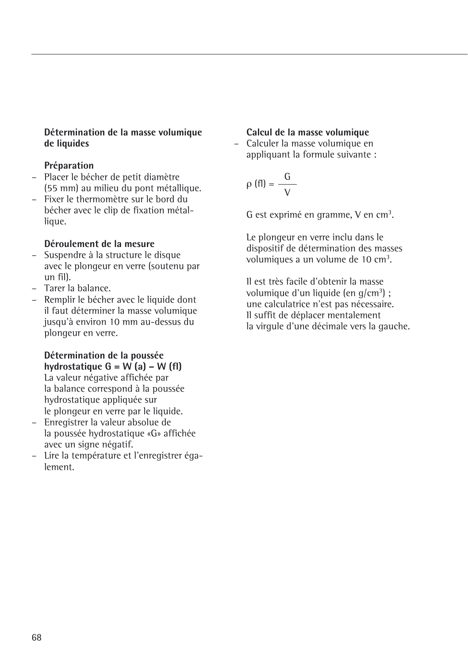## **Détermination de la masse volumique de liquides**

## **Préparation**

- Placer le bécher de petit diamètre (55 mm) au milieu du pont métallique.
- Fixer le thermomètre sur le bord du bécher avec le clip de fixation métallique.

## **Déroulement de la mesure**

- Suspendre à la structure le disque avec le plongeur en verre (soutenu par un fil).
- Tarer la balance.
- Remplir le bécher avec le liquide dont il faut déterminer la masse volumique jusqu'à environ 10 mm au-dessus du plongeur en verre.

## **Détermination de la poussée**  hydrostatique  $G = W(a) - W(f)$

La valeur négative affichée par la balance correspond à la poussée hydrostatique appliquée sur le plongeur en verre par le liquide.

- Enregistrer la valeur absolue de la poussée hydrostatique «G» affichée avec un signe négatif.
- Lire la température et l'enregistrer également.

## **Calcul de la masse volumique**

– Calculer la masse volumique en appliquant la formule suivante :

$$
\rho(fI) = \frac{G}{V}
$$

G est exprimé en gramme,  $V$  en cm<sup>3</sup>.

Le plongeur en verre inclu dans le dispositif de détermination des masses volumiques a un volume de 10 cm<sup>3</sup>.

Il est très facile d'obtenir la masse volumique d'un liquide (en g/cm<sup>3</sup>) ; une calculatrice n'est pas nécessaire. Il suffit de déplacer mentalement la virgule d'une décimale vers la gauche.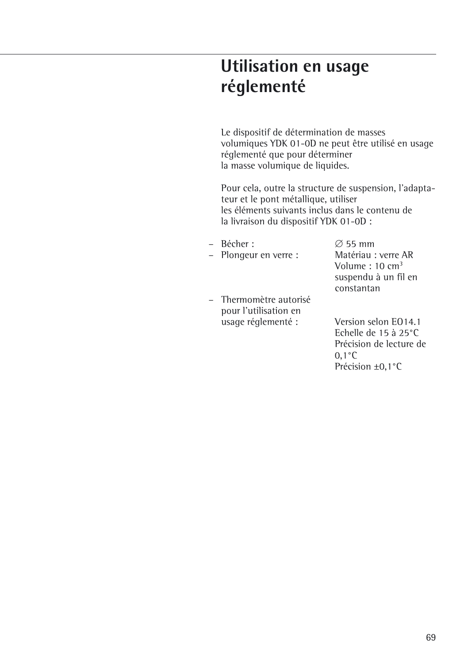# **Utilisation en usage réglementé**

Le dispositif de détermination de masses volumiques YDK 01-0D ne peut être utilisé en usage réglementé que pour déterminer la masse volumique de liquides.

Pour cela, outre la structure de suspension, l'adaptateur et le pont métallique, utiliser les éléments suivants inclus dans le contenu de la livraison du dispositif YDK 01-0D :

– Plongeur en verre :

– Thermomètre autorisé pour l'utilisation en usage réglementé : Version selon EO14.1

– Bécher :  $\varnothing$  55 mm<br>– Plongeur en verre : Matériau : verre AR Volume : 10 cm3 suspendu à un fil en constantan

> Echelle de 15 à 25°C Précision de lecture de 0,1°C Précision ±0,1°C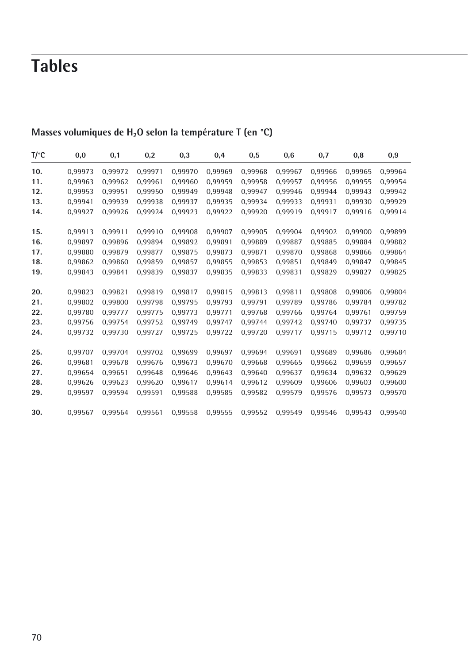# **Tables**

| T/°C | 0,0     | 0,1     | 0,2     | 0,3     | 0,4     | 0,5     | 0,6     | 0,7     | 0,8     | 0,9     |
|------|---------|---------|---------|---------|---------|---------|---------|---------|---------|---------|
| 10.  | 0,99973 | 0,99972 | 0,99971 | 0,99970 | 0,99969 | 0,99968 | 0,99967 | 0,99966 | 0,99965 | 0,99964 |
| 11.  | 0.99963 | 0.99962 | 0.99961 | 0.99960 | 0.99959 | 0.99958 | 0.99957 | 0.99956 | 0.99955 | 0,99954 |
| 12.  | 0,99953 | 0.99951 | 0,99950 | 0.99949 | 0.99948 | 0.99947 | 0.99946 | 0.99944 | 0.99943 | 0,99942 |
| 13.  | 0,99941 | 0.99939 | 0,99938 | 0.99937 | 0,99935 | 0.99934 | 0,99933 | 0,99931 | 0.99930 | 0,99929 |
| 14.  | 0,99927 | 0,99926 | 0,99924 | 0,99923 | 0,99922 | 0,99920 | 0,99919 | 0,99917 | 0,99916 | 0,99914 |
| 15.  | 0,99913 | 0.99911 | 0,99910 | 0.99908 | 0,99907 | 0.99905 | 0,99904 | 0,99902 | 0,99900 | 0,99899 |
| 16.  | 0,99897 | 0.99896 | 0,99894 | 0,99892 | 0,99891 | 0,99889 | 0,99887 | 0,99885 | 0,99884 | 0,99882 |
| 17.  | 0.99880 | 0.99879 | 0.99877 | 0.99875 | 0.99873 | 0.99871 | 0.99870 | 0.99868 | 0.99866 | 0,99864 |
| 18.  | 0.99862 | 0.99860 | 0.99859 | 0.99857 | 0,99855 | 0.99853 | 0.99851 | 0.99849 | 0.99847 | 0,99845 |
| 19.  | 0,99843 | 0.99841 | 0,99839 | 0.99837 | 0,99835 | 0,99833 | 0,99831 | 0.99829 | 0.99827 | 0,99825 |
| 20.  | 0,99823 | 0.99821 | 0,99819 | 0.99817 | 0,99815 | 0.99813 | 0,99811 | 0,99808 | 0.99806 | 0,99804 |
| 21.  | 0,99802 | 0.99800 | 0,99798 | 0.99795 | 0,99793 | 0.99791 | 0,99789 | 0.99786 | 0.99784 | 0,99782 |
| 22.  | 0,99780 | 0,99777 | 0,99775 | 0.99773 | 0,99771 | 0,99768 | 0,99766 | 0,99764 | 0.99761 | 0,99759 |
| 23.  | 0.99756 | 0.99754 | 0.99752 | 0.99749 | 0.99747 | 0.99744 | 0.99742 | 0.99740 | 0.99737 | 0.99735 |
| 24.  | 0,99732 | 0.99730 | 0.99727 | 0.99725 | 0,99722 | 0,99720 | 0,99717 | 0.99715 | 0.99712 | 0.99710 |
| 25.  | 0,99707 | 0,99704 | 0,99702 | 0,99699 | 0,99697 | 0,99694 | 0,99691 | 0,99689 | 0,99686 | 0,99684 |
| 26.  | 0,99681 | 0.99678 | 0,99676 | 0.99673 | 0,99670 | 0.99668 | 0.99665 | 0.99662 | 0.99659 | 0,99657 |
| 27.  | 0,99654 | 0.99651 | 0,99648 | 0.99646 | 0,99643 | 0.99640 | 0,99637 | 0.99634 | 0.99632 | 0,99629 |
| 28.  | 0,99626 | 0.99623 | 0,99620 | 0,99617 | 0,99614 | 0,99612 | 0,99609 | 0,99606 | 0,99603 | 0,99600 |
| 29.  | 0,99597 | 0.99594 | 0,99591 | 0.99588 | 0,99585 | 0,99582 | 0,99579 | 0,99576 | 0,99573 | 0,99570 |
| 30.  | 0,99567 | 0.99564 | 0.99561 | 0.99558 | 0,99555 | 0,99552 | 0,99549 | 0.99546 | 0.99543 | 0.99540 |

## Masses volumiques de H<sub>2</sub>O selon la température T (en °C)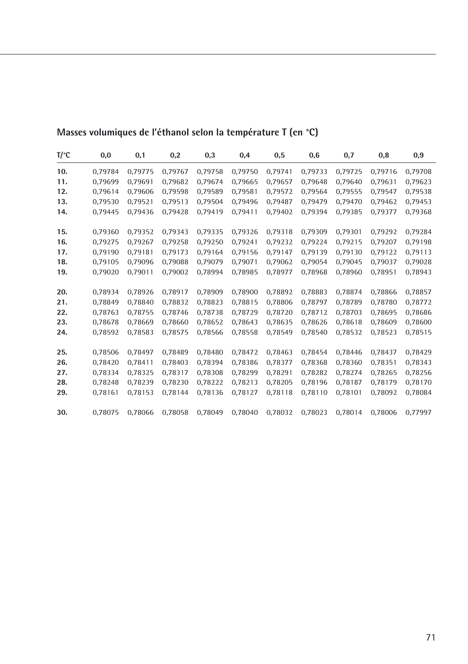| $T$ /°C | 0,0     | 0,1     | 0,2     | 0,3     | 0,4     | 0,5     | 0,6     | 0,7     | 0,8     | 0,9     |
|---------|---------|---------|---------|---------|---------|---------|---------|---------|---------|---------|
| 10.     | 0,79784 | 0,79775 | 0,79767 | 0,79758 | 0,79750 | 0,79741 | 0,79733 | 0,79725 | 0,79716 | 0,79708 |
| 11.     | 0,79699 | 0.79691 | 0,79682 | 0.79674 | 0.79665 | 0.79657 | 0.79648 | 0.79640 | 0.79631 | 0,79623 |
| 12.     | 0,79614 | 0.79606 | 0,79598 | 0,79589 | 0,79581 | 0,79572 | 0,79564 | 0,79555 | 0.79547 | 0,79538 |
| 13.     | 0,79530 | 0.79521 | 0,79513 | 0.79504 | 0,79496 | 0.79487 | 0,79479 | 0,79470 | 0.79462 | 0,79453 |
| 14.     | 0,79445 | 0,79436 | 0,79428 | 0.79419 | 0,79411 | 0,79402 | 0,79394 | 0,79385 | 0,79377 | 0,79368 |
| 15.     | 0,79360 | 0,79352 | 0,79343 | 0,79335 | 0,79326 | 0,79318 | 0,79309 | 0,79301 | 0,79292 | 0,79284 |
| 16.     | 0,79275 | 0.79267 | 0,79258 | 0.79250 | 0,79241 | 0,79232 | 0,79224 | 0,79215 | 0,79207 | 0,79198 |
| 17.     | 0,79190 | 0.79181 | 0,79173 | 0.79164 | 0,79156 | 0,79147 | 0,79139 | 0,79130 | 0,79122 | 0,79113 |
| 18.     | 0,79105 | 0.79096 | 0,79088 | 0,79079 | 0,79071 | 0,79062 | 0.79054 | 0,79045 | 0.79037 | 0,79028 |
| 19.     | 0,79020 | 0.79011 | 0,79002 | 0.78994 | 0,78985 | 0,78977 | 0,78968 | 0,78960 | 0,78951 | 0,78943 |
| 20.     | 0,78934 | 0,78926 | 0,78917 | 0,78909 | 0,78900 | 0,78892 | 0,78883 | 0,78874 | 0,78866 | 0,78857 |
| 21.     | 0,78849 | 0.78840 | 0.78832 | 0.78823 | 0,78815 | 0.78806 | 0.78797 | 0,78789 | 0.78780 | 0,78772 |
| 22.     | 0,78763 | 0.78755 | 0,78746 | 0,78738 | 0,78729 | 0,78720 | 0,78712 | 0,78703 | 0.78695 | 0,78686 |
| 23.     | 0,78678 | 0,78669 | 0,78660 | 0.78652 | 0,78643 | 0,78635 | 0,78626 | 0,78618 | 0,78609 | 0,78600 |
| 24.     | 0,78592 | 0.78583 | 0,78575 | 0,78566 | 0,78558 | 0,78549 | 0,78540 | 0,78532 | 0,78523 | 0,78515 |
| 25.     | 0,78506 | 0.78497 | 0,78489 | 0.78480 | 0,78472 | 0,78463 | 0,78454 | 0,78446 | 0.78437 | 0,78429 |
| 26.     | 0,78420 | 0,78411 | 0,78403 | 0,78394 | 0,78386 | 0,78377 | 0,78368 | 0,78360 | 0,78351 | 0,78343 |
| 27.     | 0,78334 | 0,78325 | 0,78317 | 0,78308 | 0,78299 | 0,78291 | 0,78282 | 0,78274 | 0,78265 | 0,78256 |
| 28.     | 0,78248 | 0.78239 | 0,78230 | 0,78222 | 0,78213 | 0,78205 | 0.78196 | 0,78187 | 0.78179 | 0,78170 |
| 29.     | 0,78161 | 0,78153 | 0,78144 | 0,78136 | 0,78127 | 0,78118 | 0,78110 | 0,78101 | 0.78092 | 0,78084 |
| 30.     | 0.78075 | 0.78066 | 0,78058 | 0,78049 | 0,78040 | 0,78032 | 0.78023 | 0.78014 | 0.78006 | 0,77997 |

## **Masses volumiques de l'éthanol selon la température T (en °C)**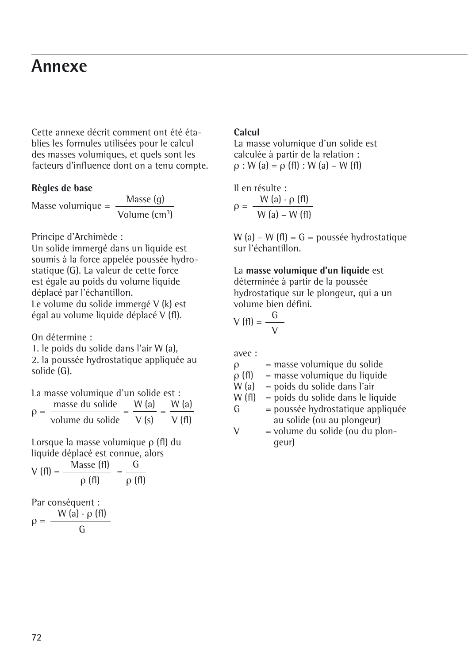## **Annexe**

Cette annexe décrit comment ont été établies les formules utilisées pour le calcul des masses volumiques, et quels sont les facteurs d'influence dont on a tenu compte.

## **Règles de base**

Masse volumique =  $\frac{\text{Masse (g)}}{\text{Volume (cm}^3)}$ 

Principe d'Archimède :

Un solide immergé dans un liquide est soumis à la force appelée poussée hydrostatique (G). La valeur de cette force est égale au poids du volume liquide déplacé par l'échantillon. Le volume du solide immergé V (k) est égal au volume liquide déplacé V (fl).

On détermine :

1. le poids du solide dans l'air W (a), 2. la poussée hydrostatique appliquée au solide (G).

| La masse volumique d'un solide est : |                  |       |       |  |  |  |  |  |  |
|--------------------------------------|------------------|-------|-------|--|--|--|--|--|--|
| $Q =$                                | masse du solide  | W (a) | W (a) |  |  |  |  |  |  |
|                                      | volume du solide | V(s)  | V(f)  |  |  |  |  |  |  |

Lorsque la masse volumique ρ (fl) du liquide déplacé est connue, alors

$$
V(fI) = \frac{\text{Masse (fI)}}{\rho (fI)} = \frac{G}{\rho (fI)}
$$

Par conséquent :  $\rho = \frac{W (a) \cdot \rho (f)}{G}$ 

## **Calcul**

La masse volumique d'un solide est calculée à partir de la relation : ρ : W (a) = ρ (fl) : W (a) – W (fl)

Il en résulte :  $\rho = \frac{W (a) \cdot \rho (f)}{W (a) - W (f)}$ 

W (a) – W (fl) =  $G =$  poussée hydrostatique sur l'échantillon.

La **masse volumique d'un liquide** est déterminée à partir de la poussée hydrostatique sur le plongeur, qui a un volume bien défini.

$$
V(fI) = \frac{G}{V}
$$

avec :

 $ρ$  = masse volumique du solide<br> $ρ$  (fl) = masse volumique du liquide

 $\rho$  (fl) = masse volumique du liquide<br>W (a) = poids du solide dans l'air

= poids du solide dans l'air

$$
W
$$
 (fl) = poids du solide dans le liquide  
 $G$  = pousse hydrostatique appliquée

au solide (ou au plongeur)  $V =$  volume du solide (ou du plongeur)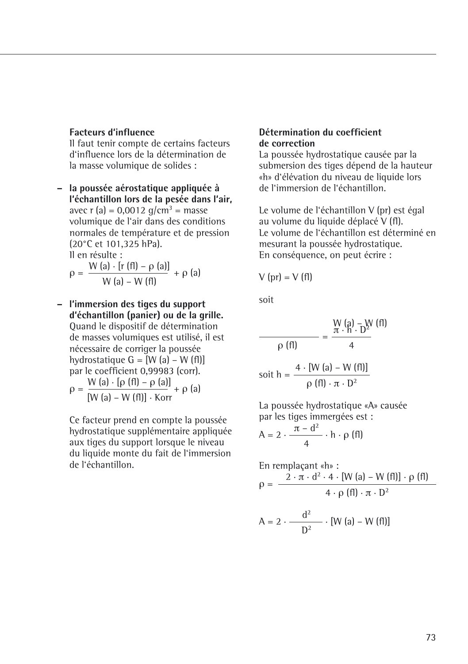## **Facteurs d'influence**

Il faut tenir compte de certains facteurs d'influence lors de la détermination de la masse volumique de solides :

**– la poussée aérostatique appliquée à l'échantillon lors de la pesée dans l'air,** avec r (a) =  $0.0012$  g/cm<sup>3</sup> = masse volumique de l'air dans des conditions normales de température et de pression (20°C et 101,325 hPa). Il en résulte :  $W(s)$   $[r(f])$   $e^{(s)}$ 

$$
\rho = \frac{W (a) \cdot [f (11) - \rho (a)]}{W (a) - W (f1)} + \rho (a)
$$

**– l'immersion des tiges du support d'échantillon (panier) ou de la grille.** Quand le dispositif de détermination de masses volumiques est utilisé, il est nécessaire de corriger la poussée hydrostatique  $G = [W (a) - W (f)]]$ par le coefficient 0,99983 (corr).  $\rho = \frac{W (a) \cdot [\rho (f I) - \rho (a)]}{W (a) \cdot W (g) \cdot W (a)} + \rho (a)$ 

[W (a) – W (fl)] · Korr

Ce facteur prend en compte la poussée hydrostatique supplémentaire appliquée aux tiges du support lorsque le niveau du liquide monte du fait de l'immersion de l'échantillon.

## **Détermination du coefficient de correction**

La poussée hydrostatique causée par la submersion des tiges dépend de la hauteur «h» d'élévation du niveau de liquide lors de l'immersion de l'échantillon.

Le volume de l'échantillon V (pr) est égal au volume du liquide déplacé V (fl). Le volume de l'échantillon est déterminé en mesurant la poussée hydrostatique. En conséquence, on peut écrire :

$$
V (pr) = V (fl)
$$

soit

$$
\frac{W\left(\mathbf{a}\right) - W\left(\mathbf{f}\right)}{\rho\left(\mathbf{f}\right)} = \frac{\frac{W\left(\mathbf{a}\right) - W\left(\mathbf{f}\right)}{1}}{4}
$$

$$
soit h = \frac{4 \cdot [W (a) - W (f I)]}{\rho (f I) \cdot \pi \cdot D^2}
$$

La poussée hydrostatique «A» causée par les tiges immergées est :

$$
A = 2 \cdot \frac{\pi - d^2}{4} \cdot h \cdot \rho \text{ (fl)}
$$

En remplagant «h» :  
\n
$$
\rho = \frac{2 \cdot \pi \cdot d^{2} \cdot 4 \cdot [W (a) - W (f I)] \cdot \rho (f I)}{4 \cdot \rho (f I) \cdot \pi \cdot D^{2}}
$$
\n
$$
A = 2 \cdot \frac{d^{2}}{D^{2}} \cdot [W (a) - W (f I) ]
$$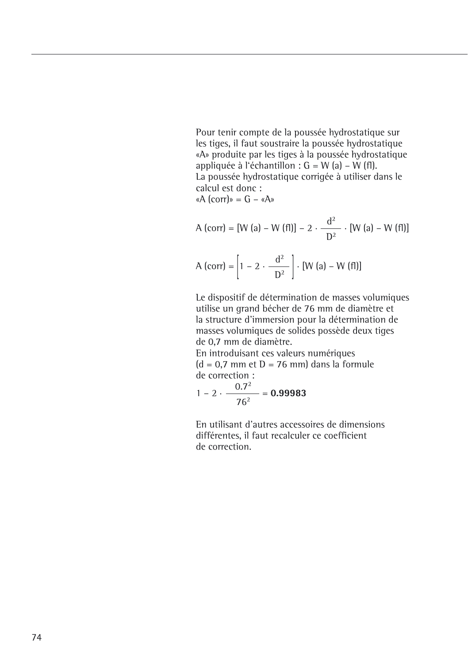Pour tenir compte de la poussée hydrostatique sur les tiges, il faut soustraire la poussée hydrostatique «A» produite par les tiges à la poussée hydrostatique appliquée à l'échantillon :  $G = W$  (a) –  $W$  (fl). La poussée hydrostatique corrigée à utiliser dans le calcul est donc :

«A (corr)» =  $G - «A$ »

A (corr) = [W (a) – W (f1)] – 2 · 
$$
\frac{d^2}{D^2}
$$
 · [W (a) – W (f1)]  
A (corr) =  $\left[1 - 2 \cdot \frac{d^2}{D^2}\right]$  · [W (a) – W (f1)]

Le dispositif de détermination de masses volumiques utilise un grand bécher de 76 mm de diamètre et la structure d'immersion pour la détermination de masses volumiques de solides possède deux tiges de 0,7 mm de diamètre.

En introduisant ces valeurs numériques  $(d = 0.7$  mm et  $D = 76$  mm) dans la formule de correction :

$$
1-2\cdot\frac{0.7^2}{76^2}=0.99983
$$

En utilisant d'autres accessoires de dimensions différentes, il faut recalculer ce coefficient de correction.